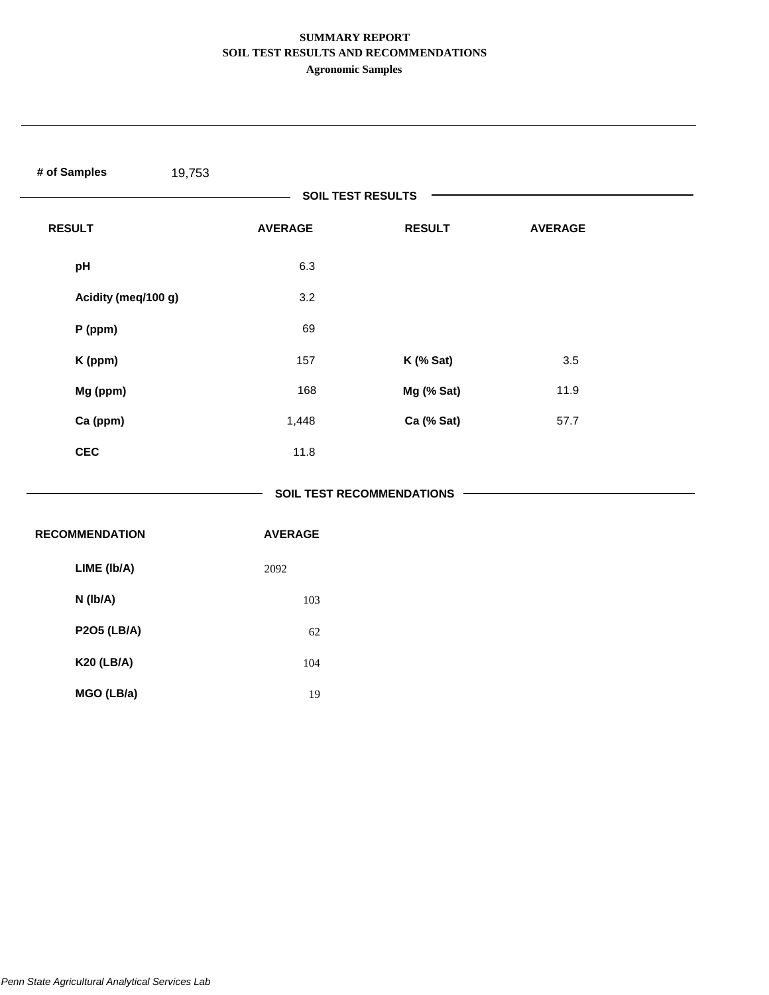# **SUMMARY REPORT SOIL TEST RESULTS AND RECOMMENDATIONS**

**Agronomic Samples**

| # of Samples<br>19,753 |                |                                  |                |  |
|------------------------|----------------|----------------------------------|----------------|--|
|                        |                | <b>SOIL TEST RESULTS</b>         |                |  |
| <b>RESULT</b>          | <b>AVERAGE</b> | <b>RESULT</b>                    | <b>AVERAGE</b> |  |
| pH                     | 6.3            |                                  |                |  |
| Acidity (meq/100 g)    | 3.2            |                                  |                |  |
| P (ppm)                | 69             |                                  |                |  |
| K (ppm)                | 157            | $K$ (% Sat)                      | 3.5            |  |
| Mg (ppm)               | 168            | Mg (% Sat)                       | 11.9           |  |
| Ca (ppm)               | 1,448          | Ca (% Sat)                       | 57.7           |  |
| <b>CEC</b>             | 11.8           |                                  |                |  |
|                        |                | <b>SOIL TEST RECOMMENDATIONS</b> |                |  |
| <b>RECOMMENDATION</b>  | <b>AVERAGE</b> |                                  |                |  |
| LIME (Ib/A)            | 2092           |                                  |                |  |
| N (Ib/A)               | 103            |                                  |                |  |
| <b>P2O5 (LB/A)</b>     | 62             |                                  |                |  |
| <b>K20 (LB/A)</b>      | 104            |                                  |                |  |
| MGO (LB/a)             | $19\,$         |                                  |                |  |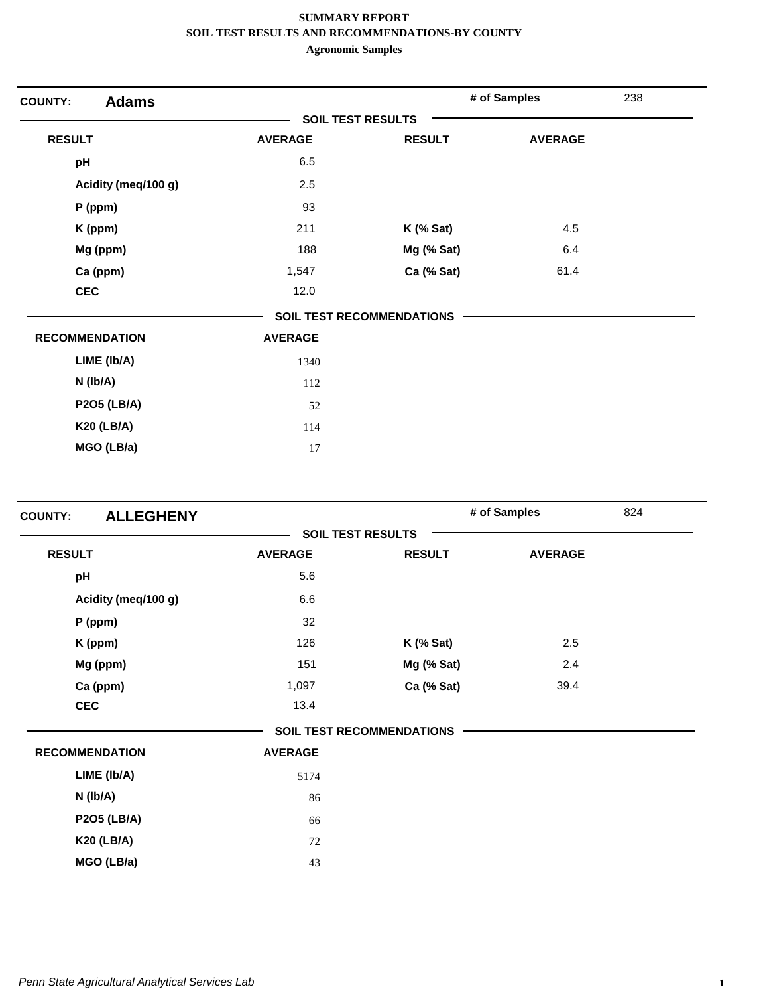| <b>Adams</b><br><b>COUNTY:</b> |                          |                                  | # of Samples   | 238 |
|--------------------------------|--------------------------|----------------------------------|----------------|-----|
|                                | <b>SOIL TEST RESULTS</b> |                                  |                |     |
| <b>RESULT</b>                  | <b>AVERAGE</b>           | <b>RESULT</b>                    | <b>AVERAGE</b> |     |
| pH                             | 6.5                      |                                  |                |     |
| Acidity (meq/100 g)            | 2.5                      |                                  |                |     |
| $P$ (ppm)                      | 93                       |                                  |                |     |
| K (ppm)                        | 211                      | $K$ (% Sat)                      | 4.5            |     |
| Mg (ppm)                       | 188                      | Mg (% Sat)                       | 6.4            |     |
| Ca (ppm)                       | 1,547                    | Ca (% Sat)                       | 61.4           |     |
| <b>CEC</b>                     | 12.0                     |                                  |                |     |
|                                |                          | <b>SOIL TEST RECOMMENDATIONS</b> |                |     |
| <b>RECOMMENDATION</b>          | <b>AVERAGE</b>           |                                  |                |     |
| LIME (Ib/A)                    | 1340                     |                                  |                |     |
| N (Ib/A)                       | 112                      |                                  |                |     |
| <b>P2O5 (LB/A)</b>             | 52                       |                                  |                |     |
| <b>K20 (LB/A)</b>              | 114                      |                                  |                |     |
| MGO (LB/a)                     | 17                       |                                  |                |     |

| <b>ALLEGHENY</b><br><b>COUNTY:</b> |                |                                  | # of Samples   | 824 |
|------------------------------------|----------------|----------------------------------|----------------|-----|
|                                    |                | <b>SOIL TEST RESULTS</b>         |                |     |
| <b>RESULT</b>                      | <b>AVERAGE</b> | <b>RESULT</b>                    | <b>AVERAGE</b> |     |
| pH                                 | 5.6            |                                  |                |     |
| Acidity (meq/100 g)                | 6.6            |                                  |                |     |
| P (ppm)                            | 32             |                                  |                |     |
| K (ppm)                            | 126            | $K$ (% Sat)                      | 2.5            |     |
| Mg (ppm)                           | 151            | Mg (% Sat)                       | 2.4            |     |
| Ca (ppm)                           | 1,097          | Ca (% Sat)                       | 39.4           |     |
| <b>CEC</b>                         | 13.4           |                                  |                |     |
|                                    |                | <b>SOIL TEST RECOMMENDATIONS</b> |                |     |
| <b>RECOMMENDATION</b>              | <b>AVERAGE</b> |                                  |                |     |
| LIME (Ib/A)                        | 5174           |                                  |                |     |
| N (lb/A)                           | 86             |                                  |                |     |
| <b>P2O5 (LB/A)</b>                 | 66             |                                  |                |     |
| <b>K20 (LB/A)</b>                  | 72             |                                  |                |     |
| MGO (LB/a)                         | 43             |                                  |                |     |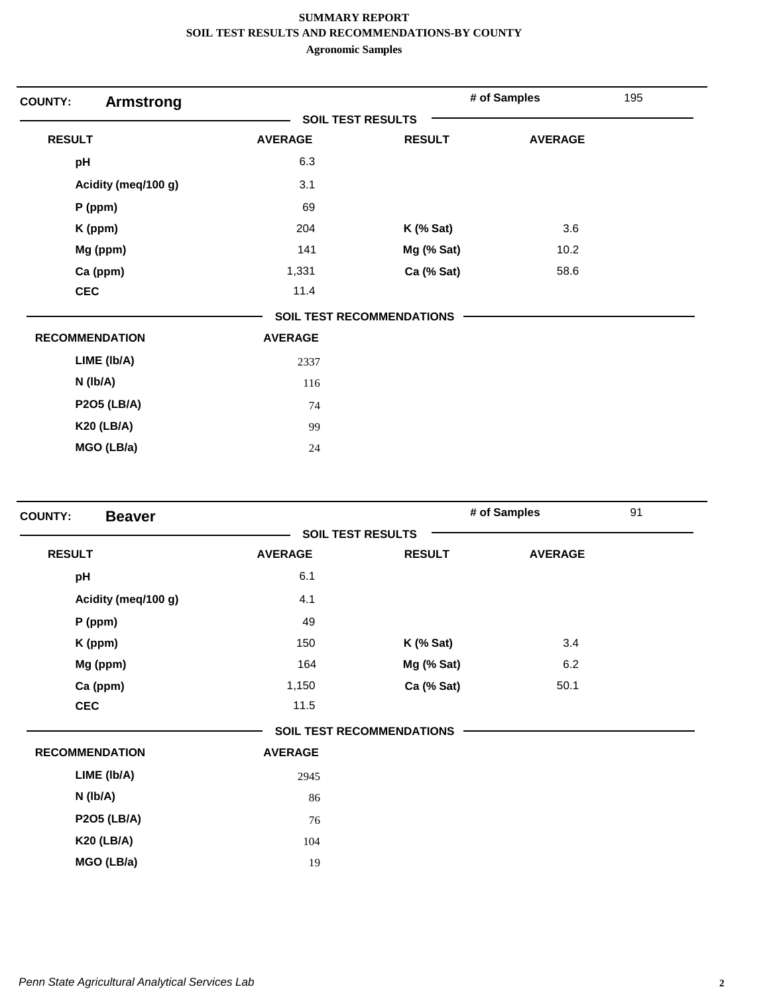| <b>COUNTY:</b><br><b>Armstrong</b> |                |                                  | # of Samples   | 195 |
|------------------------------------|----------------|----------------------------------|----------------|-----|
|                                    |                | <b>SOIL TEST RESULTS</b>         |                |     |
| <b>RESULT</b>                      | <b>AVERAGE</b> | <b>RESULT</b>                    | <b>AVERAGE</b> |     |
| pH                                 | 6.3            |                                  |                |     |
| Acidity (meq/100 g)                | 3.1            |                                  |                |     |
| $P$ (ppm)                          | 69             |                                  |                |     |
| K (ppm)                            | 204            | $K$ (% Sat)                      | 3.6            |     |
| Mg (ppm)                           | 141            | Mg (% Sat)                       | 10.2           |     |
| Ca (ppm)                           | 1,331          | Ca (% Sat)                       | 58.6           |     |
| <b>CEC</b>                         | 11.4           |                                  |                |     |
|                                    |                | <b>SOIL TEST RECOMMENDATIONS</b> |                |     |
| <b>RECOMMENDATION</b>              | <b>AVERAGE</b> |                                  |                |     |
| LIME (Ib/A)                        | 2337           |                                  |                |     |
| N (Ib/A)                           | 116            |                                  |                |     |
| <b>P2O5 (LB/A)</b>                 | 74             |                                  |                |     |
| <b>K20 (LB/A)</b>                  | 99             |                                  |                |     |
| MGO (LB/a)                         | 24             |                                  |                |     |

| <b>COUNTY:</b><br><b>Beaver</b> |                          |                                  | # of Samples   | 91 |
|---------------------------------|--------------------------|----------------------------------|----------------|----|
|                                 | <b>SOIL TEST RESULTS</b> |                                  |                |    |
| <b>RESULT</b>                   | <b>AVERAGE</b>           | <b>RESULT</b>                    | <b>AVERAGE</b> |    |
| pH                              | 6.1                      |                                  |                |    |
| Acidity (meq/100 g)             | 4.1                      |                                  |                |    |
| P (ppm)                         | 49                       |                                  |                |    |
| K (ppm)                         | 150                      | $K$ (% Sat)                      | 3.4            |    |
| Mg (ppm)                        | 164                      | Mg (% Sat)                       | 6.2            |    |
| Ca (ppm)                        | 1,150                    | Ca (% Sat)                       | 50.1           |    |
| <b>CEC</b>                      | 11.5                     |                                  |                |    |
|                                 |                          | <b>SOIL TEST RECOMMENDATIONS</b> |                |    |
| <b>RECOMMENDATION</b>           | <b>AVERAGE</b>           |                                  |                |    |
| LIME (Ib/A)                     | 2945                     |                                  |                |    |
| N (lb/A)                        | 86                       |                                  |                |    |
| <b>P2O5 (LB/A)</b>              | 76                       |                                  |                |    |
| <b>K20 (LB/A)</b>               | 104                      |                                  |                |    |
| MGO (LB/a)                      | 19                       |                                  |                |    |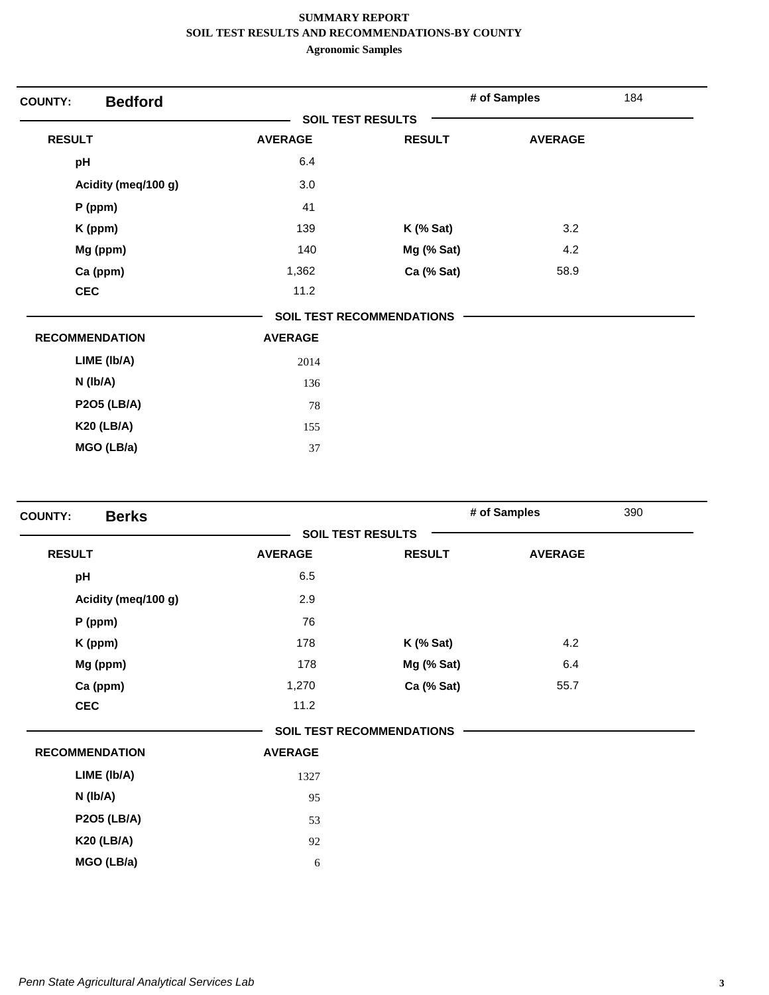| <b>COUNTY:</b>        | <b>Bedford</b>      |                          |                                  | # of Samples   | 184 |
|-----------------------|---------------------|--------------------------|----------------------------------|----------------|-----|
|                       |                     | <b>SOIL TEST RESULTS</b> |                                  |                |     |
| <b>RESULT</b>         |                     | <b>AVERAGE</b>           | <b>RESULT</b>                    | <b>AVERAGE</b> |     |
| pH                    |                     | 6.4                      |                                  |                |     |
|                       | Acidity (meq/100 g) | 3.0                      |                                  |                |     |
|                       | $P$ (ppm)           | 41                       |                                  |                |     |
|                       | K (ppm)             | 139                      | $K$ (% Sat)                      | 3.2            |     |
|                       | Mg (ppm)            | 140                      | Mg (% Sat)                       | 4.2            |     |
|                       | Ca (ppm)            | 1,362                    | Ca (% Sat)                       | 58.9           |     |
| <b>CEC</b>            |                     | 11.2                     |                                  |                |     |
|                       |                     |                          | <b>SOIL TEST RECOMMENDATIONS</b> |                |     |
| <b>RECOMMENDATION</b> |                     | <b>AVERAGE</b>           |                                  |                |     |
|                       | LIME (Ib/A)         | 2014                     |                                  |                |     |
|                       | $N$ (lb/A)          | 136                      |                                  |                |     |
|                       | <b>P2O5 (LB/A)</b>  | 78                       |                                  |                |     |
|                       | <b>K20 (LB/A)</b>   | 155                      |                                  |                |     |
|                       | MGO (LB/a)          | 37                       |                                  |                |     |

| <b>Berks</b><br><b>COUNTY:</b> |                |                                  | # of Samples   | 390 |
|--------------------------------|----------------|----------------------------------|----------------|-----|
|                                |                | <b>SOIL TEST RESULTS</b>         |                |     |
| <b>RESULT</b>                  | <b>AVERAGE</b> | <b>RESULT</b>                    | <b>AVERAGE</b> |     |
| pH                             | 6.5            |                                  |                |     |
| Acidity (meq/100 g)            | 2.9            |                                  |                |     |
| P (ppm)                        | 76             |                                  |                |     |
| K (ppm)                        | 178            | $K$ (% Sat)                      | 4.2            |     |
| Mg (ppm)                       | 178            | Mg (% Sat)                       | 6.4            |     |
| Ca (ppm)                       | 1,270          | Ca (% Sat)                       | 55.7           |     |
| <b>CEC</b>                     | 11.2           |                                  |                |     |
|                                |                | <b>SOIL TEST RECOMMENDATIONS</b> |                |     |
| <b>RECOMMENDATION</b>          | <b>AVERAGE</b> |                                  |                |     |
| LIME (Ib/A)                    | 1327           |                                  |                |     |
| N (lb/A)                       | 95             |                                  |                |     |
| <b>P2O5 (LB/A)</b>             | 53             |                                  |                |     |
| <b>K20 (LB/A)</b>              | 92             |                                  |                |     |
| MGO (LB/a)                     | 6              |                                  |                |     |
|                                |                |                                  |                |     |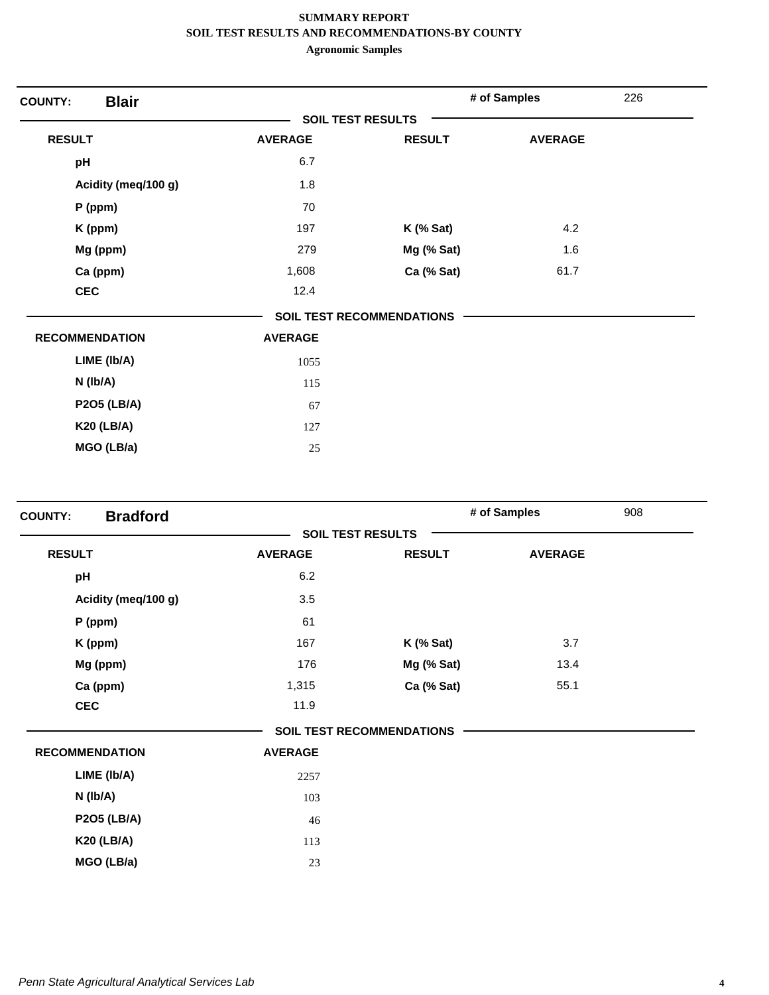| <b>Blair</b><br><b>COUNTY:</b> |                          |                                  | # of Samples   | 226 |
|--------------------------------|--------------------------|----------------------------------|----------------|-----|
|                                | <b>SOIL TEST RESULTS</b> |                                  |                |     |
| <b>RESULT</b>                  | <b>AVERAGE</b>           | <b>RESULT</b>                    | <b>AVERAGE</b> |     |
| pH                             | 6.7                      |                                  |                |     |
| Acidity (meq/100 g)            | 1.8                      |                                  |                |     |
| $P$ (ppm)                      | 70                       |                                  |                |     |
| K (ppm)                        | 197                      | $K$ (% Sat)                      | 4.2            |     |
| Mg (ppm)                       | 279                      | Mg (% Sat)                       | 1.6            |     |
| Ca (ppm)                       | 1,608                    | Ca (% Sat)                       | 61.7           |     |
| <b>CEC</b>                     | 12.4                     |                                  |                |     |
|                                |                          | <b>SOIL TEST RECOMMENDATIONS</b> |                |     |
| <b>RECOMMENDATION</b>          | <b>AVERAGE</b>           |                                  |                |     |
| LIME (Ib/A)                    | 1055                     |                                  |                |     |
| $N$ ( $lb/A$ )                 | 115                      |                                  |                |     |
| <b>P2O5 (LB/A)</b>             | 67                       |                                  |                |     |
| <b>K20 (LB/A)</b>              | 127                      |                                  |                |     |
| MGO (LB/a)                     | 25                       |                                  |                |     |

| <b>Bradford</b><br><b>COUNTY:</b> |                |                                  | # of Samples   | 908 |
|-----------------------------------|----------------|----------------------------------|----------------|-----|
|                                   |                | <b>SOIL TEST RESULTS</b>         |                |     |
| <b>RESULT</b>                     | <b>AVERAGE</b> | <b>RESULT</b>                    | <b>AVERAGE</b> |     |
| pH                                | 6.2            |                                  |                |     |
| Acidity (meq/100 g)               | 3.5            |                                  |                |     |
| $P$ (ppm)                         | 61             |                                  |                |     |
| K (ppm)                           | 167            | $K$ (% Sat)                      | 3.7            |     |
| Mg (ppm)                          | 176            | Mg (% Sat)                       | 13.4           |     |
| Ca (ppm)                          | 1,315          | Ca (% Sat)                       | 55.1           |     |
| <b>CEC</b>                        | 11.9           |                                  |                |     |
|                                   |                | <b>SOIL TEST RECOMMENDATIONS</b> |                |     |
| <b>RECOMMENDATION</b>             | <b>AVERAGE</b> |                                  |                |     |
| LIME (Ib/A)                       | 2257           |                                  |                |     |
| $N$ (lb/A)                        | 103            |                                  |                |     |
| <b>P2O5 (LB/A)</b>                | 46             |                                  |                |     |
| <b>K20 (LB/A)</b>                 | 113            |                                  |                |     |
| MGO (LB/a)                        | 23             |                                  |                |     |
|                                   |                |                                  |                |     |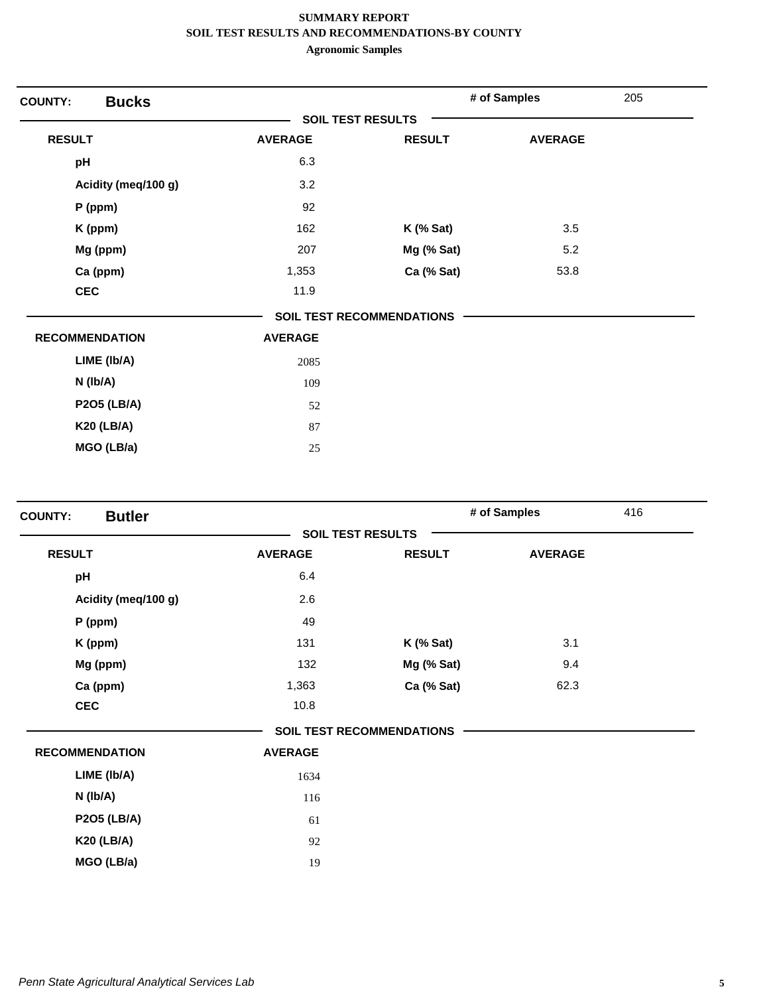| <b>COUNTY:</b> | <b>Bucks</b>          |                          |                           | # of Samples   | 205 |
|----------------|-----------------------|--------------------------|---------------------------|----------------|-----|
|                |                       | <b>SOIL TEST RESULTS</b> |                           |                |     |
| <b>RESULT</b>  |                       | <b>AVERAGE</b>           | <b>RESULT</b>             | <b>AVERAGE</b> |     |
| pH             |                       | 6.3                      |                           |                |     |
|                | Acidity (meq/100 g)   | 3.2                      |                           |                |     |
|                | $P$ (ppm)             | 92                       |                           |                |     |
|                | K (ppm)               | 162                      | $K$ (% Sat)               | 3.5            |     |
|                | Mg (ppm)              | 207                      | Mg (% Sat)                | 5.2            |     |
|                | Ca (ppm)              | 1,353                    | Ca (% Sat)                | 53.8           |     |
| <b>CEC</b>     |                       | 11.9                     |                           |                |     |
|                |                       |                          | SOIL TEST RECOMMENDATIONS |                |     |
|                | <b>RECOMMENDATION</b> | <b>AVERAGE</b>           |                           |                |     |
|                | LIME (Ib/A)           | 2085                     |                           |                |     |
|                | N (Ib/A)              | 109                      |                           |                |     |
|                | <b>P2O5 (LB/A)</b>    | 52                       |                           |                |     |
|                | <b>K20 (LB/A)</b>     | 87                       |                           |                |     |
|                | MGO (LB/a)            | 25                       |                           |                |     |

| <b>Butler</b><br><b>COUNTY:</b> |                |                                  | # of Samples   | 416 |
|---------------------------------|----------------|----------------------------------|----------------|-----|
|                                 |                | <b>SOIL TEST RESULTS</b>         |                |     |
| <b>RESULT</b>                   | <b>AVERAGE</b> | <b>RESULT</b>                    | <b>AVERAGE</b> |     |
| pH                              | 6.4            |                                  |                |     |
| Acidity (meq/100 g)             | 2.6            |                                  |                |     |
| P (ppm)                         | 49             |                                  |                |     |
| K (ppm)                         | 131            | $K$ (% Sat)                      | 3.1            |     |
| Mg (ppm)                        | 132            | Mg (% Sat)                       | 9.4            |     |
| Ca (ppm)                        | 1,363          | Ca (% Sat)                       | 62.3           |     |
| <b>CEC</b>                      | 10.8           |                                  |                |     |
|                                 |                | <b>SOIL TEST RECOMMENDATIONS</b> |                |     |
| <b>RECOMMENDATION</b>           | <b>AVERAGE</b> |                                  |                |     |
| LIME (Ib/A)                     | 1634           |                                  |                |     |
| $N$ ( $lb/A$ )                  | 116            |                                  |                |     |
| <b>P2O5 (LB/A)</b>              | 61             |                                  |                |     |
| <b>K20 (LB/A)</b>               | 92             |                                  |                |     |
| MGO (LB/a)                      | 19             |                                  |                |     |
|                                 |                |                                  |                |     |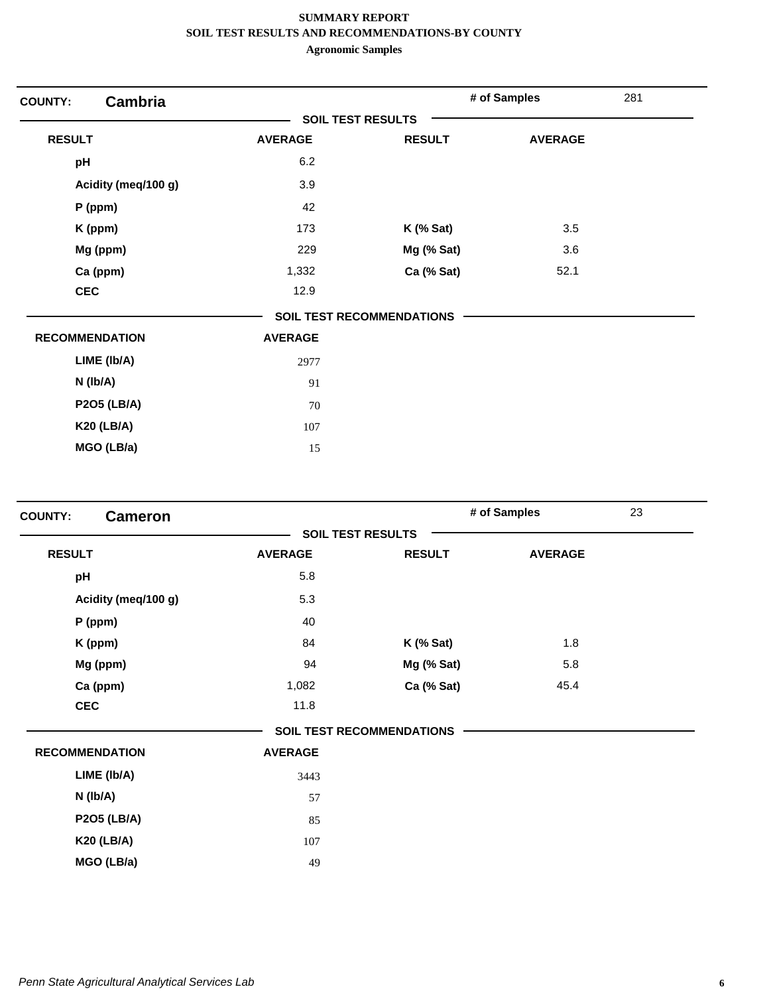| <b>COUNTY:</b>        | <b>Cambria</b>      |                          |                                  | # of Samples   | 281 |
|-----------------------|---------------------|--------------------------|----------------------------------|----------------|-----|
|                       |                     | <b>SOIL TEST RESULTS</b> |                                  |                |     |
| <b>RESULT</b>         |                     | <b>AVERAGE</b>           | <b>RESULT</b>                    | <b>AVERAGE</b> |     |
| pH                    |                     | 6.2                      |                                  |                |     |
|                       | Acidity (meq/100 g) | 3.9                      |                                  |                |     |
|                       | $P$ (ppm)           | 42                       |                                  |                |     |
|                       | K (ppm)             | 173                      | $K$ (% Sat)                      | 3.5            |     |
|                       | Mg (ppm)            | 229                      | Mg (% Sat)                       | 3.6            |     |
|                       | Ca (ppm)            | 1,332                    | Ca (% Sat)                       | 52.1           |     |
| <b>CEC</b>            |                     | 12.9                     |                                  |                |     |
|                       |                     |                          | <b>SOIL TEST RECOMMENDATIONS</b> |                |     |
| <b>RECOMMENDATION</b> |                     | <b>AVERAGE</b>           |                                  |                |     |
|                       | LIME (Ib/A)         | 2977                     |                                  |                |     |
|                       | $N$ ( $lb/A$ )      | 91                       |                                  |                |     |
|                       | <b>P2O5 (LB/A)</b>  | 70                       |                                  |                |     |
|                       | <b>K20 (LB/A)</b>   | 107                      |                                  |                |     |
|                       | MGO (LB/a)          | 15                       |                                  |                |     |

| <b>Cameron</b><br><b>COUNTY:</b> |                |                                  | # of Samples   | 23 |
|----------------------------------|----------------|----------------------------------|----------------|----|
|                                  |                | <b>SOIL TEST RESULTS</b>         |                |    |
| <b>RESULT</b>                    | <b>AVERAGE</b> | <b>RESULT</b>                    | <b>AVERAGE</b> |    |
| pH                               | 5.8            |                                  |                |    |
| Acidity (meq/100 g)              | 5.3            |                                  |                |    |
| P (ppm)                          | 40             |                                  |                |    |
| K (ppm)                          | 84             | $K$ (% Sat)                      | 1.8            |    |
| Mg (ppm)                         | 94             | Mg (% Sat)                       | 5.8            |    |
| Ca (ppm)                         | 1,082          | Ca (% Sat)                       | 45.4           |    |
| <b>CEC</b>                       | 11.8           |                                  |                |    |
|                                  |                | <b>SOIL TEST RECOMMENDATIONS</b> |                |    |
| <b>RECOMMENDATION</b>            | <b>AVERAGE</b> |                                  |                |    |
| LIME (Ib/A)                      | 3443           |                                  |                |    |
| $N$ ( $lb/A$ )                   | 57             |                                  |                |    |
| <b>P2O5 (LB/A)</b>               | 85             |                                  |                |    |
| <b>K20 (LB/A)</b>                | 107            |                                  |                |    |
| MGO (LB/a)                       | 49             |                                  |                |    |
|                                  |                |                                  |                |    |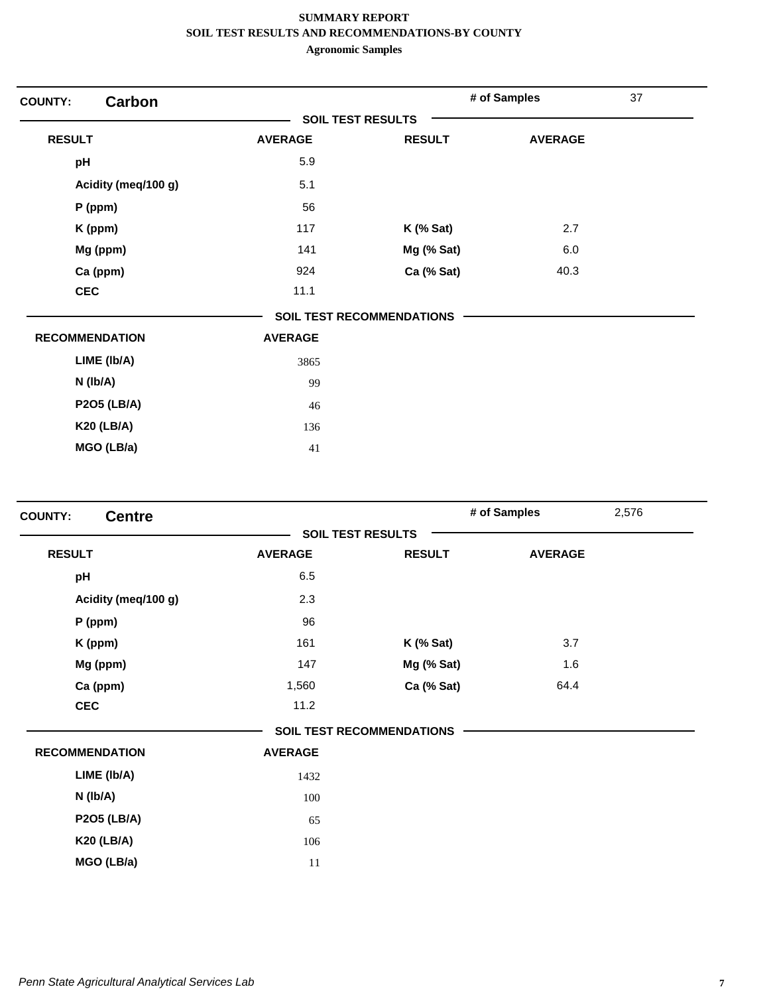| <b>Carbon</b><br><b>COUNTY:</b> |                          |                           | # of Samples   | 37 |
|---------------------------------|--------------------------|---------------------------|----------------|----|
|                                 | <b>SOIL TEST RESULTS</b> |                           |                |    |
| <b>RESULT</b>                   | <b>AVERAGE</b>           | <b>RESULT</b>             | <b>AVERAGE</b> |    |
| pH                              | 5.9                      |                           |                |    |
| Acidity (meq/100 g)             | 5.1                      |                           |                |    |
| $P$ (ppm)                       | 56                       |                           |                |    |
| K (ppm)                         | 117                      | $K$ (% Sat)               | 2.7            |    |
| Mg (ppm)                        | 141                      | Mg (% Sat)                | 6.0            |    |
| Ca (ppm)                        | 924                      | Ca (% Sat)                | 40.3           |    |
| <b>CEC</b>                      | 11.1                     |                           |                |    |
|                                 |                          | SOIL TEST RECOMMENDATIONS |                |    |
| <b>RECOMMENDATION</b>           | <b>AVERAGE</b>           |                           |                |    |
| LIME (Ib/A)                     | 3865                     |                           |                |    |
| $N$ ( $lb/A$ )                  | 99                       |                           |                |    |
| <b>P2O5 (LB/A)</b>              | 46                       |                           |                |    |
| <b>K20 (LB/A)</b>               | 136                      |                           |                |    |
| MGO (LB/a)                      | 41                       |                           |                |    |

| <b>Centre</b><br><b>COUNTY:</b> |                |                                  | # of Samples   | 2,576 |
|---------------------------------|----------------|----------------------------------|----------------|-------|
|                                 |                | <b>SOIL TEST RESULTS</b>         |                |       |
| <b>RESULT</b>                   | <b>AVERAGE</b> | <b>RESULT</b>                    | <b>AVERAGE</b> |       |
| pH                              | 6.5            |                                  |                |       |
| Acidity (meq/100 g)             | 2.3            |                                  |                |       |
| P (ppm)                         | 96             |                                  |                |       |
| K (ppm)                         | 161            | $K$ (% Sat)                      | 3.7            |       |
| Mg (ppm)                        | 147            | Mg (% Sat)                       | 1.6            |       |
| Ca (ppm)                        | 1,560          | Ca (% Sat)                       | 64.4           |       |
| <b>CEC</b>                      | 11.2           |                                  |                |       |
|                                 |                | <b>SOIL TEST RECOMMENDATIONS</b> |                |       |
| <b>RECOMMENDATION</b>           | <b>AVERAGE</b> |                                  |                |       |
| LIME (Ib/A)                     | 1432           |                                  |                |       |
| $N$ (lb/A)                      | 100            |                                  |                |       |
| <b>P2O5 (LB/A)</b>              | 65             |                                  |                |       |
| <b>K20 (LB/A)</b>               | 106            |                                  |                |       |
| MGO (LB/a)                      | 11             |                                  |                |       |
|                                 |                |                                  |                |       |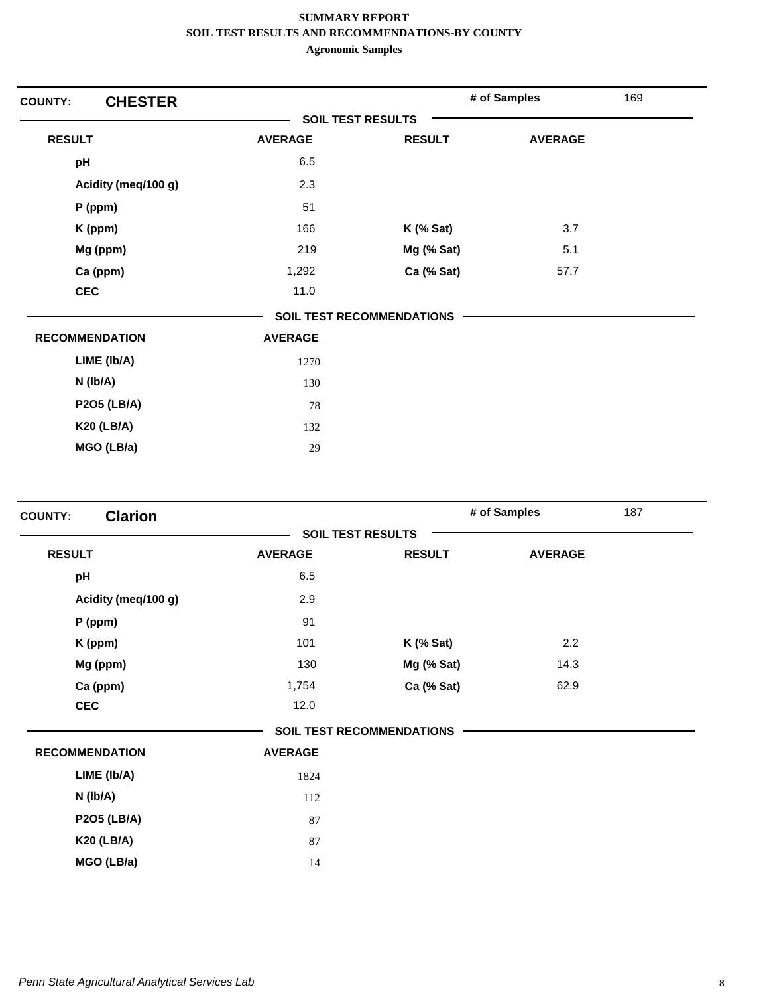| <b>CHESTER</b><br><b>COUNTY:</b> |                          |                           | # of Samples   | 169 |
|----------------------------------|--------------------------|---------------------------|----------------|-----|
|                                  | <b>SOIL TEST RESULTS</b> |                           |                |     |
| <b>RESULT</b>                    | <b>AVERAGE</b>           | <b>RESULT</b>             | <b>AVERAGE</b> |     |
| pH                               | 6.5                      |                           |                |     |
| Acidity (meq/100 g)              | 2.3                      |                           |                |     |
| $P$ (ppm)                        | 51                       |                           |                |     |
| K (ppm)                          | 166                      | $K$ (% Sat)               | 3.7            |     |
| Mg (ppm)                         | 219                      | Mg (% Sat)                | 5.1            |     |
| Ca (ppm)                         | 1,292                    | Ca (% Sat)                | 57.7           |     |
| <b>CEC</b>                       | 11.0                     |                           |                |     |
|                                  |                          | SOIL TEST RECOMMENDATIONS |                |     |
| <b>RECOMMENDATION</b>            | <b>AVERAGE</b>           |                           |                |     |
| LIME (Ib/A)                      | 1270                     |                           |                |     |
| N (Ib/A)                         | 130                      |                           |                |     |
| <b>P2O5 (LB/A)</b>               | 78                       |                           |                |     |
| <b>K20 (LB/A)</b>                | 132                      |                           |                |     |
| MGO (LB/a)                       | 29                       |                           |                |     |

| <b>Clarion</b><br><b>COUNTY:</b> |                |                                  | # of Samples   | 187 |
|----------------------------------|----------------|----------------------------------|----------------|-----|
|                                  |                | <b>SOIL TEST RESULTS</b>         |                |     |
| <b>RESULT</b>                    | <b>AVERAGE</b> | <b>RESULT</b>                    | <b>AVERAGE</b> |     |
| pH                               | 6.5            |                                  |                |     |
| Acidity (meq/100 g)              | 2.9            |                                  |                |     |
| P (ppm)                          | 91             |                                  |                |     |
| K (ppm)                          | 101            | $K$ (% Sat)                      | 2.2            |     |
| Mg (ppm)                         | 130            | Mg (% Sat)                       | 14.3           |     |
| Ca (ppm)                         | 1,754          | Ca (% Sat)                       | 62.9           |     |
| <b>CEC</b>                       | 12.0           |                                  |                |     |
|                                  |                | <b>SOIL TEST RECOMMENDATIONS</b> |                |     |
| <b>RECOMMENDATION</b>            | <b>AVERAGE</b> |                                  |                |     |
| LIME (Ib/A)                      | 1824           |                                  |                |     |
| N (Ib/A)                         | 112            |                                  |                |     |
| <b>P2O5 (LB/A)</b>               | 87             |                                  |                |     |
| <b>K20 (LB/A)</b>                | 87             |                                  |                |     |
| MGO (LB/a)                       | 14             |                                  |                |     |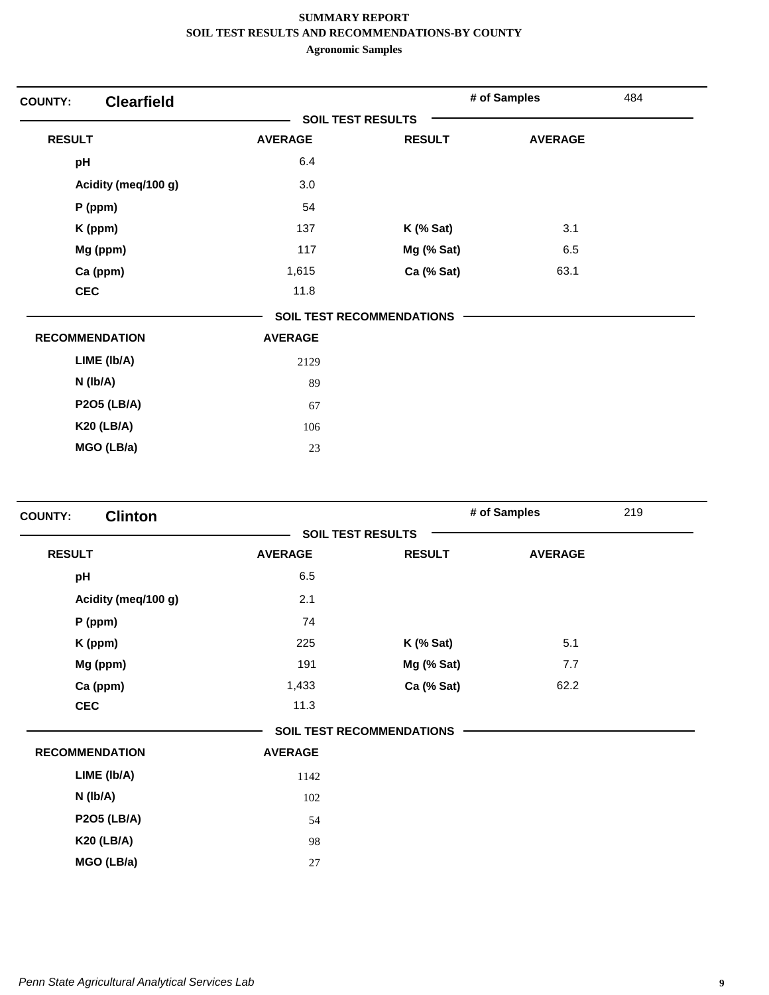| <b>COUNTY:</b>        | <b>Clearfield</b>   |                          |                                  | # of Samples   | 484 |
|-----------------------|---------------------|--------------------------|----------------------------------|----------------|-----|
|                       |                     | <b>SOIL TEST RESULTS</b> |                                  |                |     |
| <b>RESULT</b>         |                     | <b>AVERAGE</b>           | <b>RESULT</b>                    | <b>AVERAGE</b> |     |
| pH                    |                     | 6.4                      |                                  |                |     |
|                       | Acidity (meq/100 g) | 3.0                      |                                  |                |     |
|                       | $P$ (ppm)           | 54                       |                                  |                |     |
|                       | K (ppm)             | 137                      | $K$ (% Sat)                      | 3.1            |     |
|                       | Mg (ppm)            | 117                      | Mg (% Sat)                       | 6.5            |     |
|                       | Ca (ppm)            | 1,615                    | Ca (% Sat)                       | 63.1           |     |
| <b>CEC</b>            |                     | 11.8                     |                                  |                |     |
|                       |                     |                          | <b>SOIL TEST RECOMMENDATIONS</b> |                |     |
| <b>RECOMMENDATION</b> |                     | <b>AVERAGE</b>           |                                  |                |     |
|                       | LIME (Ib/A)         | 2129                     |                                  |                |     |
|                       | $N$ ( $lb/A$ )      | 89                       |                                  |                |     |
|                       | <b>P2O5 (LB/A)</b>  | 67                       |                                  |                |     |
|                       | <b>K20 (LB/A)</b>   | 106                      |                                  |                |     |
|                       | MGO (LB/a)          | 23                       |                                  |                |     |

| <b>Clinton</b><br><b>COUNTY:</b> |                |                                  | # of Samples   | 219 |
|----------------------------------|----------------|----------------------------------|----------------|-----|
|                                  |                | <b>SOIL TEST RESULTS</b>         |                |     |
| <b>RESULT</b>                    | <b>AVERAGE</b> | <b>RESULT</b>                    | <b>AVERAGE</b> |     |
| pH                               | 6.5            |                                  |                |     |
| Acidity (meq/100 g)              | 2.1            |                                  |                |     |
| P (ppm)                          | 74             |                                  |                |     |
| K (ppm)                          | 225            | $K$ (% Sat)                      | 5.1            |     |
| Mg (ppm)                         | 191            | Mg (% Sat)                       | 7.7            |     |
| Ca (ppm)                         | 1,433          | Ca (% Sat)                       | 62.2           |     |
| <b>CEC</b>                       | 11.3           |                                  |                |     |
|                                  |                | <b>SOIL TEST RECOMMENDATIONS</b> |                |     |
| <b>RECOMMENDATION</b>            | <b>AVERAGE</b> |                                  |                |     |
| LIME (Ib/A)                      | 1142           |                                  |                |     |
| N (lb/A)                         | 102            |                                  |                |     |
| <b>P2O5 (LB/A)</b>               | 54             |                                  |                |     |
| <b>K20 (LB/A)</b>                | 98             |                                  |                |     |
| MGO (LB/a)                       | 27             |                                  |                |     |
|                                  |                |                                  |                |     |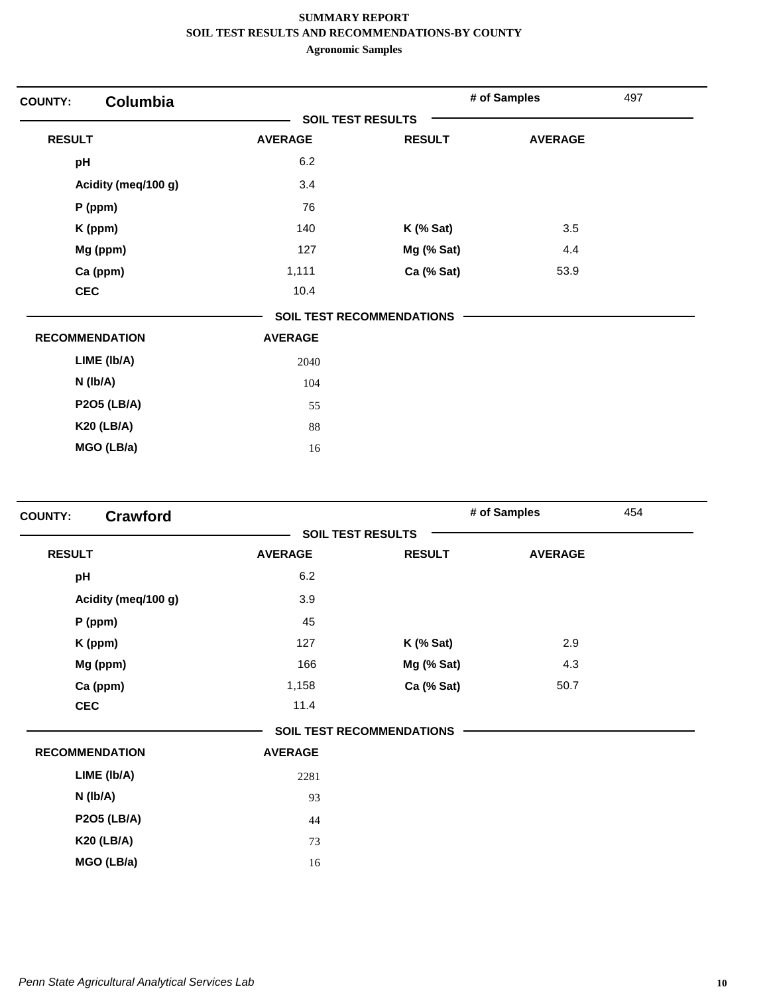| <b>COUNTY:</b> | <b>Columbia</b>       |                          |                                  | # of Samples   | 497 |
|----------------|-----------------------|--------------------------|----------------------------------|----------------|-----|
|                |                       | <b>SOIL TEST RESULTS</b> |                                  |                |     |
| <b>RESULT</b>  |                       | <b>AVERAGE</b>           | <b>RESULT</b>                    | <b>AVERAGE</b> |     |
| pH             |                       | 6.2                      |                                  |                |     |
|                | Acidity (meq/100 g)   | 3.4                      |                                  |                |     |
|                | $P$ (ppm)             | 76                       |                                  |                |     |
|                | K (ppm)               | 140                      | $K$ (% Sat)                      | 3.5            |     |
|                | Mg (ppm)              | 127                      | Mg (% Sat)                       | 4.4            |     |
|                | Ca (ppm)              | 1,111                    | Ca (% Sat)                       | 53.9           |     |
| <b>CEC</b>     |                       | 10.4                     |                                  |                |     |
|                |                       |                          | <b>SOIL TEST RECOMMENDATIONS</b> |                |     |
|                | <b>RECOMMENDATION</b> | <b>AVERAGE</b>           |                                  |                |     |
|                | LIME (Ib/A)           | 2040                     |                                  |                |     |
|                | $N$ ( $lb/A$ )        | 104                      |                                  |                |     |
|                | <b>P2O5 (LB/A)</b>    | 55                       |                                  |                |     |
|                | <b>K20 (LB/A)</b>     | 88                       |                                  |                |     |
|                | MGO (LB/a)            | 16                       |                                  |                |     |

| <b>Crawford</b><br><b>COUNTY:</b> |                |                                  | # of Samples   | 454 |
|-----------------------------------|----------------|----------------------------------|----------------|-----|
|                                   |                | <b>SOIL TEST RESULTS</b>         |                |     |
| <b>RESULT</b>                     | <b>AVERAGE</b> | <b>RESULT</b>                    | <b>AVERAGE</b> |     |
| pH                                | 6.2            |                                  |                |     |
| Acidity (meq/100 g)               | 3.9            |                                  |                |     |
| $P$ (ppm)                         | 45             |                                  |                |     |
| K (ppm)                           | 127            | $K$ (% Sat)                      | 2.9            |     |
| Mg (ppm)                          | 166            | Mg (% Sat)                       | 4.3            |     |
| Ca (ppm)                          | 1,158          | Ca (% Sat)                       | 50.7           |     |
| <b>CEC</b>                        | 11.4           |                                  |                |     |
|                                   |                | <b>SOIL TEST RECOMMENDATIONS</b> |                |     |
| <b>RECOMMENDATION</b>             | <b>AVERAGE</b> |                                  |                |     |
| LIME (Ib/A)                       | 2281           |                                  |                |     |
| $N$ (lb/A)                        | 93             |                                  |                |     |
| <b>P2O5 (LB/A)</b>                | 44             |                                  |                |     |
| <b>K20 (LB/A)</b>                 | 73             |                                  |                |     |
| MGO (LB/a)                        | 16             |                                  |                |     |
|                                   |                |                                  |                |     |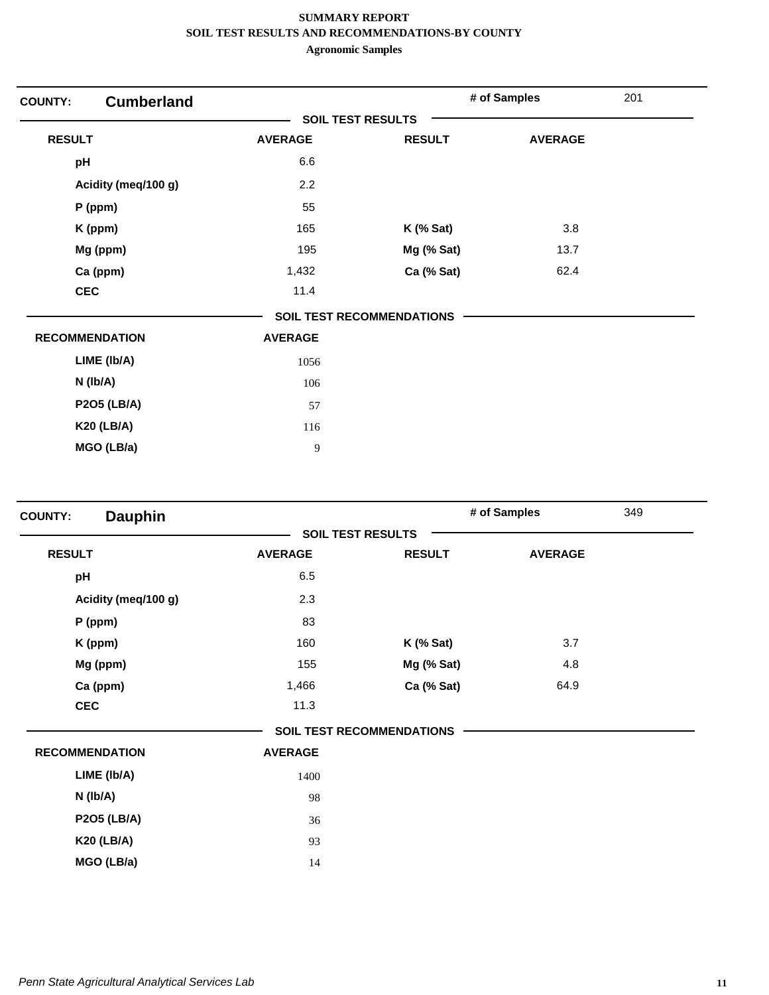| <b>COUNTY:</b> | <b>Cumberland</b>     |                |                                  | # of Samples   | 201 |
|----------------|-----------------------|----------------|----------------------------------|----------------|-----|
|                |                       |                | <b>SOIL TEST RESULTS</b>         |                |     |
| <b>RESULT</b>  |                       | <b>AVERAGE</b> | <b>RESULT</b>                    | <b>AVERAGE</b> |     |
| pH             |                       | 6.6            |                                  |                |     |
|                | Acidity (meq/100 g)   | 2.2            |                                  |                |     |
|                | $P$ (ppm)             | 55             |                                  |                |     |
|                | K (ppm)               | 165            | $K$ (% Sat)                      | 3.8            |     |
|                | Mg (ppm)              | 195            | Mg (% Sat)                       | 13.7           |     |
|                | Ca (ppm)              | 1,432          | Ca (% Sat)                       | 62.4           |     |
| <b>CEC</b>     |                       | 11.4           |                                  |                |     |
|                |                       |                | <b>SOIL TEST RECOMMENDATIONS</b> |                |     |
|                | <b>RECOMMENDATION</b> | <b>AVERAGE</b> |                                  |                |     |
|                | LIME (Ib/A)           | 1056           |                                  |                |     |
|                | N (Ib/A)              | 106            |                                  |                |     |
|                | <b>P2O5 (LB/A)</b>    | 57             |                                  |                |     |
|                | <b>K20 (LB/A)</b>     | 116            |                                  |                |     |
|                | MGO (LB/a)            | 9              |                                  |                |     |

| <b>Dauphin</b><br><b>COUNTY:</b> |                |                                  | # of Samples   | 349 |
|----------------------------------|----------------|----------------------------------|----------------|-----|
|                                  |                | <b>SOIL TEST RESULTS</b>         |                |     |
| <b>RESULT</b>                    | <b>AVERAGE</b> | <b>RESULT</b>                    | <b>AVERAGE</b> |     |
| pH                               | 6.5            |                                  |                |     |
| Acidity (meq/100 g)              | 2.3            |                                  |                |     |
| P (ppm)                          | 83             |                                  |                |     |
| K (ppm)                          | 160            | $K$ (% Sat)                      | 3.7            |     |
| Mg (ppm)                         | 155            | Mg (% Sat)                       | 4.8            |     |
| Ca (ppm)                         | 1,466          | Ca (% Sat)                       | 64.9           |     |
| <b>CEC</b>                       | 11.3           |                                  |                |     |
|                                  |                | <b>SOIL TEST RECOMMENDATIONS</b> |                |     |
| <b>RECOMMENDATION</b>            | <b>AVERAGE</b> |                                  |                |     |
| LIME (Ib/A)                      | 1400           |                                  |                |     |
| $N$ (lb/A)                       | 98             |                                  |                |     |
| <b>P2O5 (LB/A)</b>               | 36             |                                  |                |     |
| <b>K20 (LB/A)</b>                | 93             |                                  |                |     |
| MGO (LB/a)                       | 14             |                                  |                |     |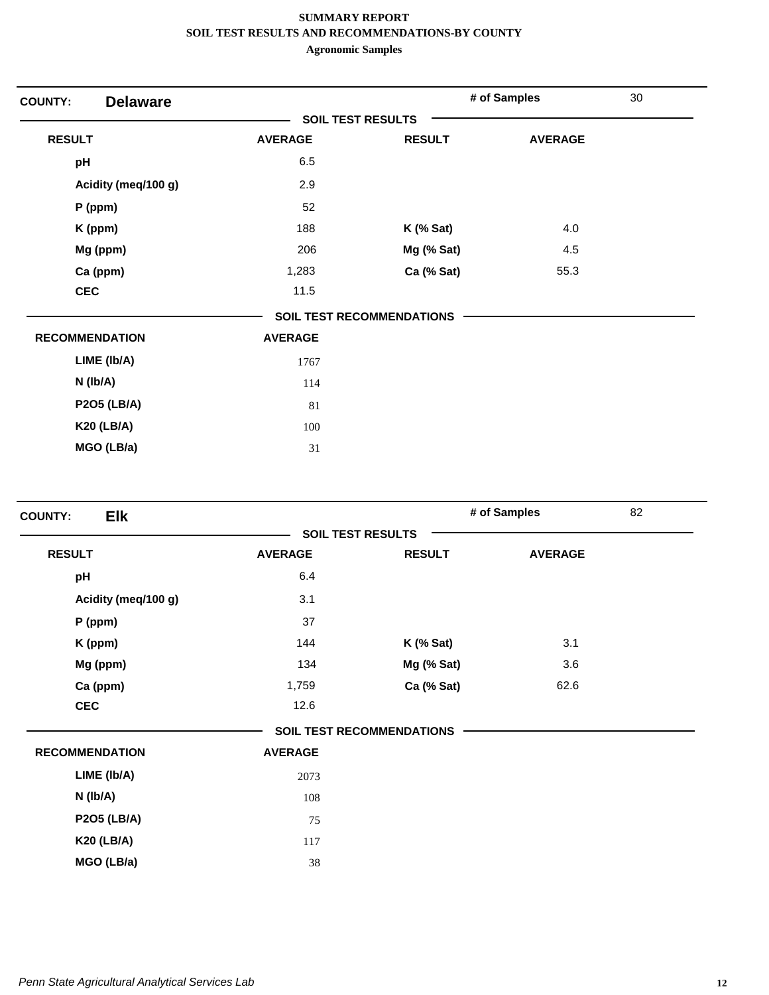| <b>Delaware</b><br><b>COUNTY:</b> |                |                                  | # of Samples   | 30 |
|-----------------------------------|----------------|----------------------------------|----------------|----|
|                                   |                | <b>SOIL TEST RESULTS</b>         |                |    |
| <b>RESULT</b>                     | <b>AVERAGE</b> | <b>RESULT</b>                    | <b>AVERAGE</b> |    |
| pH                                | 6.5            |                                  |                |    |
| Acidity (meq/100 g)               | 2.9            |                                  |                |    |
| P (ppm)                           | 52             |                                  |                |    |
| K (ppm)                           | 188            | $K$ (% Sat)                      | 4.0            |    |
| Mg (ppm)                          | 206            | Mg (% Sat)                       | 4.5            |    |
| Ca (ppm)                          | 1,283          | Ca (% Sat)                       | 55.3           |    |
| <b>CEC</b>                        | 11.5           |                                  |                |    |
|                                   |                | <b>SOIL TEST RECOMMENDATIONS</b> |                |    |
| <b>RECOMMENDATION</b>             | <b>AVERAGE</b> |                                  |                |    |
| LIME (Ib/A)                       | 1767           |                                  |                |    |
| $N$ ( $lb/A$ )                    | 114            |                                  |                |    |
| <b>P2O5 (LB/A)</b>                | 81             |                                  |                |    |
| <b>K20 (LB/A)</b>                 | 100            |                                  |                |    |
| MGO (LB/a)                        | 31             |                                  |                |    |

| <b>Elk</b><br><b>COUNTY:</b> |                |                                  | # of Samples   | 82 |
|------------------------------|----------------|----------------------------------|----------------|----|
|                              |                | <b>SOIL TEST RESULTS</b>         |                |    |
| <b>RESULT</b>                | <b>AVERAGE</b> | <b>RESULT</b>                    | <b>AVERAGE</b> |    |
| pH                           | 6.4            |                                  |                |    |
| Acidity (meq/100 g)          | 3.1            |                                  |                |    |
| P (ppm)                      | 37             |                                  |                |    |
| K (ppm)                      | 144            | $K$ (% Sat)                      | 3.1            |    |
| Mg (ppm)                     | 134            | Mg (% Sat)                       | 3.6            |    |
| Ca (ppm)                     | 1,759          | Ca (% Sat)                       | 62.6           |    |
| <b>CEC</b>                   | 12.6           |                                  |                |    |
|                              |                | <b>SOIL TEST RECOMMENDATIONS</b> |                |    |
| <b>RECOMMENDATION</b>        | <b>AVERAGE</b> |                                  |                |    |
| LIME (Ib/A)                  | 2073           |                                  |                |    |
| N (lb/A)                     | 108            |                                  |                |    |
| <b>P2O5 (LB/A)</b>           | 75             |                                  |                |    |
| <b>K20 (LB/A)</b>            | 117            |                                  |                |    |
| MGO (LB/a)                   | 38             |                                  |                |    |
|                              |                |                                  |                |    |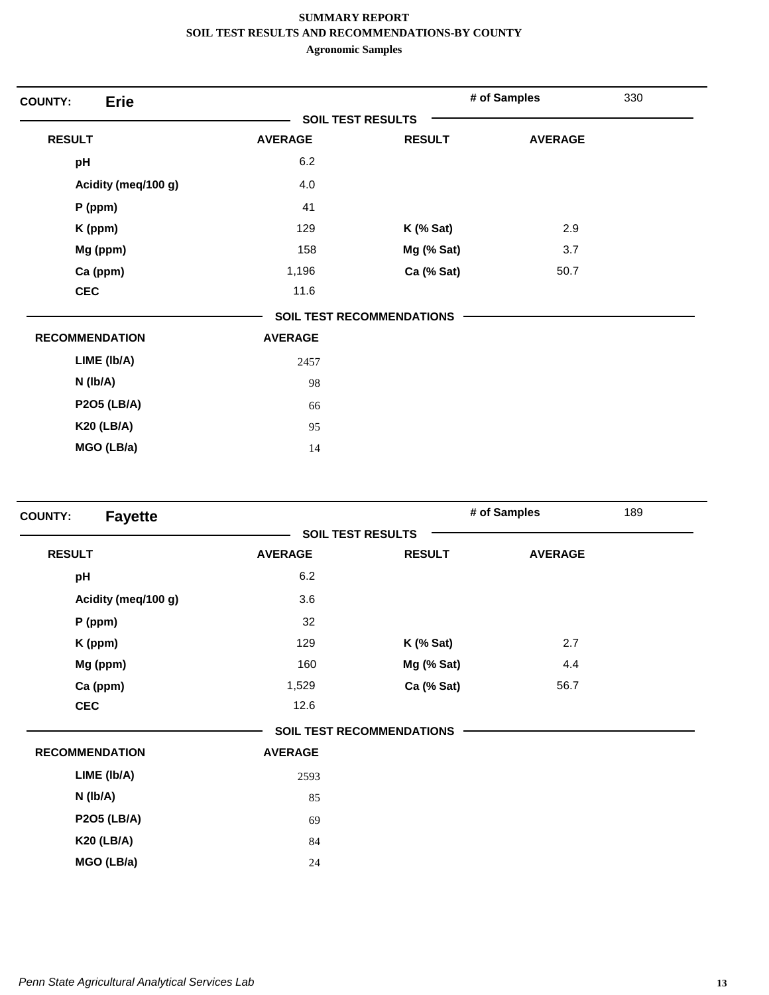| <b>Erie</b><br><b>COUNTY:</b> |                          |                                  | # of Samples   | 330 |
|-------------------------------|--------------------------|----------------------------------|----------------|-----|
|                               | <b>SOIL TEST RESULTS</b> |                                  |                |     |
| <b>RESULT</b>                 | <b>AVERAGE</b>           | <b>RESULT</b>                    | <b>AVERAGE</b> |     |
| pH                            | 6.2                      |                                  |                |     |
| Acidity (meq/100 g)           | 4.0                      |                                  |                |     |
| $P$ (ppm)                     | 41                       |                                  |                |     |
| K (ppm)                       | 129                      | $K$ (% Sat)                      | 2.9            |     |
| Mg (ppm)                      | 158                      | Mg (% Sat)                       | 3.7            |     |
| Ca (ppm)                      | 1,196                    | Ca (% Sat)                       | 50.7           |     |
| <b>CEC</b>                    | 11.6                     |                                  |                |     |
|                               |                          | <b>SOIL TEST RECOMMENDATIONS</b> |                |     |
| <b>RECOMMENDATION</b>         | <b>AVERAGE</b>           |                                  |                |     |
| LIME (Ib/A)                   | 2457                     |                                  |                |     |
| $N$ (lb/A)                    | 98                       |                                  |                |     |
| <b>P2O5 (LB/A)</b>            | 66                       |                                  |                |     |
| <b>K20 (LB/A)</b>             | 95                       |                                  |                |     |
| MGO (LB/a)                    | 14                       |                                  |                |     |

| <b>Fayette</b><br><b>COUNTY:</b> |                |                                  | # of Samples   | 189 |
|----------------------------------|----------------|----------------------------------|----------------|-----|
|                                  |                | <b>SOIL TEST RESULTS</b>         |                |     |
| <b>RESULT</b>                    | <b>AVERAGE</b> | <b>RESULT</b>                    | <b>AVERAGE</b> |     |
| pH                               | 6.2            |                                  |                |     |
| Acidity (meq/100 g)              | 3.6            |                                  |                |     |
| $P$ (ppm)                        | 32             |                                  |                |     |
| K (ppm)                          | 129            | $K$ (% Sat)                      | 2.7            |     |
| Mg (ppm)                         | 160            | Mg (% Sat)                       | 4.4            |     |
| Ca (ppm)                         | 1,529          | Ca (% Sat)                       | 56.7           |     |
| <b>CEC</b>                       | 12.6           |                                  |                |     |
|                                  |                | <b>SOIL TEST RECOMMENDATIONS</b> |                |     |
| <b>RECOMMENDATION</b>            | <b>AVERAGE</b> |                                  |                |     |
| LIME (Ib/A)                      | 2593           |                                  |                |     |
| N (lb/A)                         | 85             |                                  |                |     |
| <b>P2O5 (LB/A)</b>               | 69             |                                  |                |     |
| <b>K20 (LB/A)</b>                | 84             |                                  |                |     |
| MGO (LB/a)                       | 24             |                                  |                |     |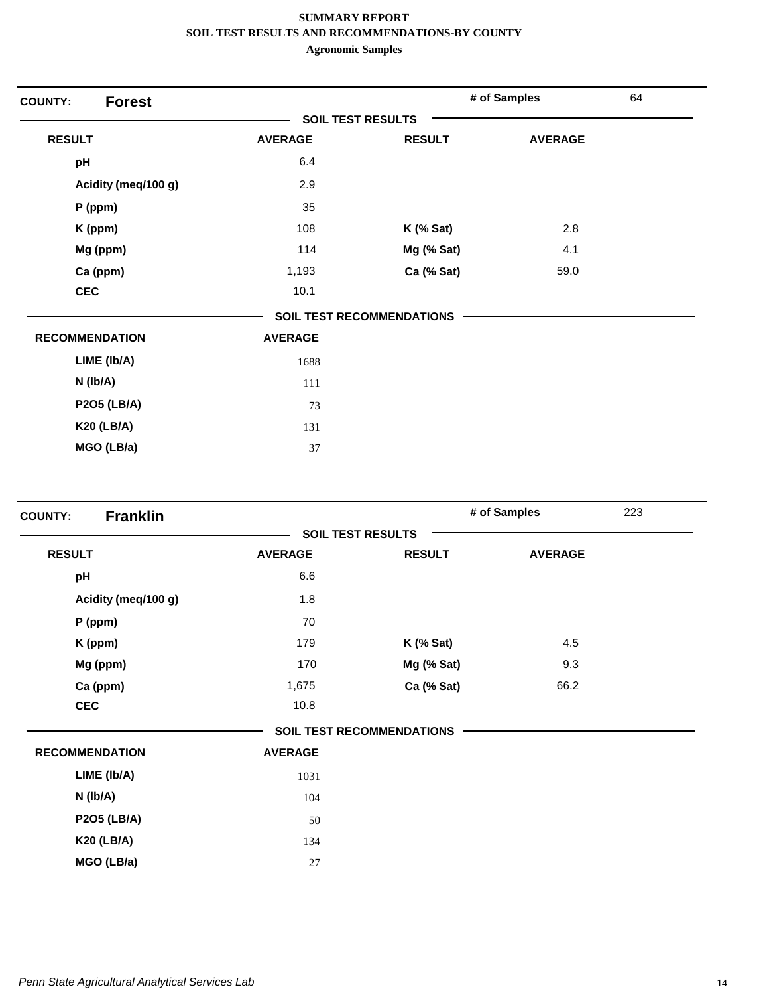| <b>Forest</b><br><b>COUNTY:</b> |                |                                  | # of Samples   | 64 |
|---------------------------------|----------------|----------------------------------|----------------|----|
|                                 |                | <b>SOIL TEST RESULTS</b>         |                |    |
| <b>RESULT</b>                   | <b>AVERAGE</b> | <b>RESULT</b>                    | <b>AVERAGE</b> |    |
| pH                              | 6.4            |                                  |                |    |
| Acidity (meq/100 g)             | 2.9            |                                  |                |    |
| $P$ (ppm)                       | 35             |                                  |                |    |
| K (ppm)                         | 108            | $K$ (% Sat)                      | 2.8            |    |
| Mg (ppm)                        | 114            | Mg (% Sat)                       | 4.1            |    |
| Ca (ppm)                        | 1,193          | Ca (% Sat)                       | 59.0           |    |
| <b>CEC</b>                      | 10.1           |                                  |                |    |
|                                 |                | <b>SOIL TEST RECOMMENDATIONS</b> |                |    |
| <b>RECOMMENDATION</b>           | <b>AVERAGE</b> |                                  |                |    |
| LIME (Ib/A)                     | 1688           |                                  |                |    |
| $N$ ( $lb/A$ )                  | 111            |                                  |                |    |
| <b>P2O5 (LB/A)</b>              | 73             |                                  |                |    |
| <b>K20 (LB/A)</b>               | 131            |                                  |                |    |
| MGO (LB/a)                      | 37             |                                  |                |    |

| <b>Franklin</b><br><b>COUNTY:</b> |                |                                  | # of Samples   | 223 |
|-----------------------------------|----------------|----------------------------------|----------------|-----|
|                                   |                | <b>SOIL TEST RESULTS</b>         |                |     |
| <b>RESULT</b>                     | <b>AVERAGE</b> | <b>RESULT</b>                    | <b>AVERAGE</b> |     |
| pH                                | 6.6            |                                  |                |     |
| Acidity (meq/100 g)               | 1.8            |                                  |                |     |
| P (ppm)                           | 70             |                                  |                |     |
| K (ppm)                           | 179            | $K$ (% Sat)                      | 4.5            |     |
| Mg (ppm)                          | 170            | Mg (% Sat)                       | 9.3            |     |
| Ca (ppm)                          | 1,675          | Ca (% Sat)                       | 66.2           |     |
| <b>CEC</b>                        | 10.8           |                                  |                |     |
|                                   |                | <b>SOIL TEST RECOMMENDATIONS</b> |                |     |
| <b>RECOMMENDATION</b>             | <b>AVERAGE</b> |                                  |                |     |
| LIME (Ib/A)                       | 1031           |                                  |                |     |
| $N$ ( $lb/A$ )                    | 104            |                                  |                |     |
| <b>P2O5 (LB/A)</b>                | 50             |                                  |                |     |
| <b>K20 (LB/A)</b>                 | 134            |                                  |                |     |
| MGO (LB/a)                        | 27             |                                  |                |     |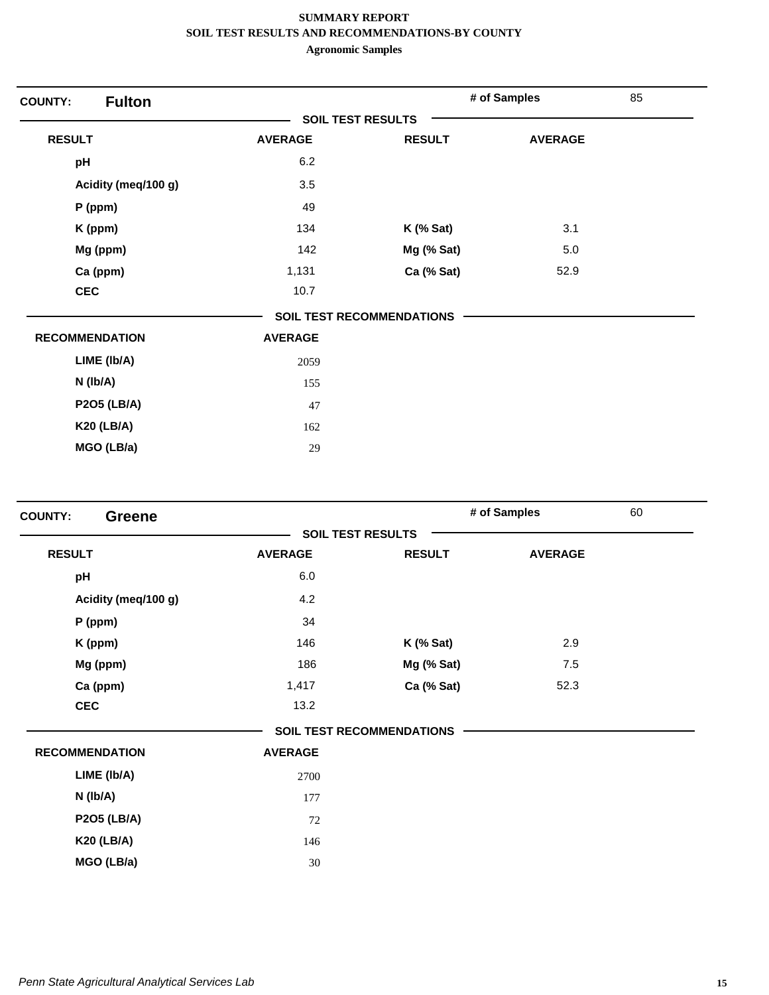| <b>Fulton</b><br><b>COUNTY:</b> |                |                                  | # of Samples   | 85 |
|---------------------------------|----------------|----------------------------------|----------------|----|
|                                 |                | <b>SOIL TEST RESULTS</b>         |                |    |
| <b>RESULT</b>                   | <b>AVERAGE</b> | <b>RESULT</b>                    | <b>AVERAGE</b> |    |
| pH                              | 6.2            |                                  |                |    |
| Acidity (meq/100 g)             | 3.5            |                                  |                |    |
| $P$ (ppm)                       | 49             |                                  |                |    |
| K (ppm)                         | 134            | $K$ (% Sat)                      | 3.1            |    |
| Mg (ppm)                        | 142            | Mg (% Sat)                       | 5.0            |    |
| Ca (ppm)                        | 1,131          | Ca (% Sat)                       | 52.9           |    |
| <b>CEC</b>                      | 10.7           |                                  |                |    |
|                                 |                | <b>SOIL TEST RECOMMENDATIONS</b> |                |    |
| <b>RECOMMENDATION</b>           | <b>AVERAGE</b> |                                  |                |    |
| LIME (Ib/A)                     | 2059           |                                  |                |    |
| $N$ ( $lb/A$ )                  | 155            |                                  |                |    |
| <b>P2O5 (LB/A)</b>              | 47             |                                  |                |    |
| <b>K20 (LB/A)</b>               | 162            |                                  |                |    |
| MGO (LB/a)                      | 29             |                                  |                |    |

|                       |                |                                  | # of Samples   | 60 |
|-----------------------|----------------|----------------------------------|----------------|----|
|                       |                | <b>SOIL TEST RESULTS</b>         |                |    |
| <b>RESULT</b>         | <b>AVERAGE</b> | <b>RESULT</b>                    | <b>AVERAGE</b> |    |
| pH                    | 6.0            |                                  |                |    |
| Acidity (meq/100 g)   | 4.2            |                                  |                |    |
| P (ppm)               | 34             |                                  |                |    |
| K (ppm)               | 146            | $K$ (% Sat)                      | 2.9            |    |
| Mg (ppm)              | 186            | Mg (% Sat)                       | 7.5            |    |
| Ca (ppm)              | 1,417          | Ca (% Sat)                       | 52.3           |    |
| <b>CEC</b>            | 13.2           |                                  |                |    |
|                       |                | <b>SOIL TEST RECOMMENDATIONS</b> |                |    |
| <b>RECOMMENDATION</b> | <b>AVERAGE</b> |                                  |                |    |
| LIME (Ib/A)           | 2700           |                                  |                |    |
| N (lb/A)              | 177            |                                  |                |    |
| <b>P2O5 (LB/A)</b>    | 72             |                                  |                |    |
| <b>K20 (LB/A)</b>     | 146            |                                  |                |    |
| MGO (LB/a)            | 30             |                                  |                |    |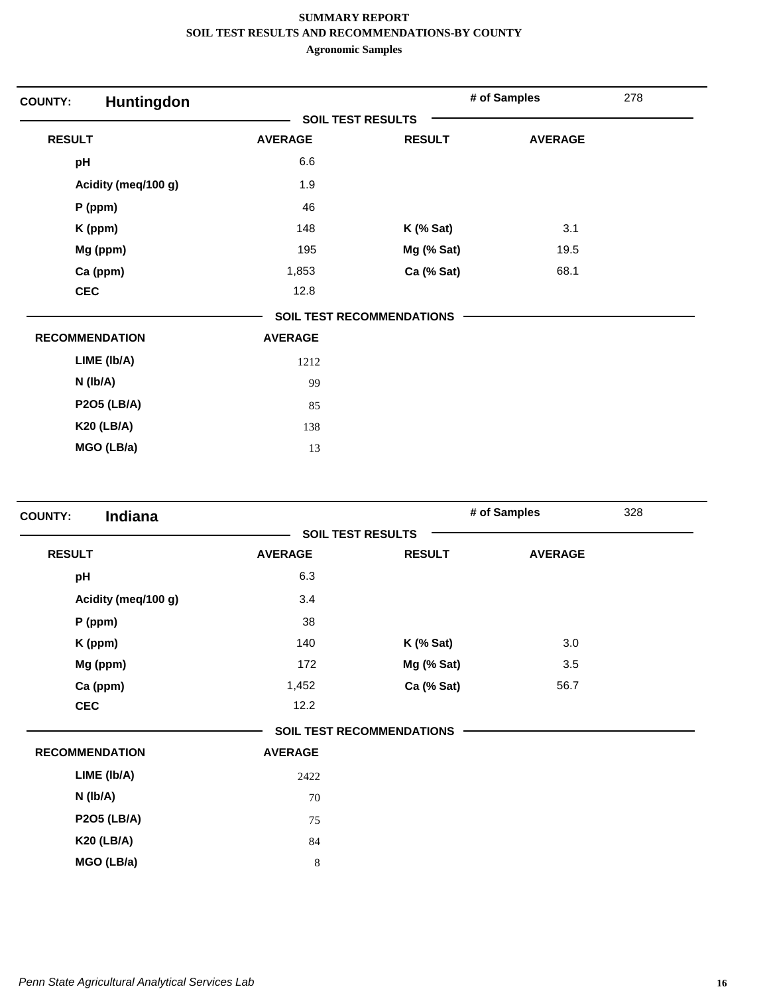| Huntingdon<br><b>COUNTY:</b> |                          |                                  | # of Samples   | 278 |
|------------------------------|--------------------------|----------------------------------|----------------|-----|
|                              | <b>SOIL TEST RESULTS</b> |                                  |                |     |
| <b>RESULT</b>                | <b>AVERAGE</b>           | <b>RESULT</b>                    | <b>AVERAGE</b> |     |
| pH                           | 6.6                      |                                  |                |     |
| Acidity (meq/100 g)          | 1.9                      |                                  |                |     |
| $P$ (ppm)                    | 46                       |                                  |                |     |
| K (ppm)                      | 148                      | $K$ (% Sat)                      | 3.1            |     |
| Mg (ppm)                     | 195                      | Mg (% Sat)                       | 19.5           |     |
| Ca (ppm)                     | 1,853                    | Ca (% Sat)                       | 68.1           |     |
| <b>CEC</b>                   | 12.8                     |                                  |                |     |
|                              |                          | <b>SOIL TEST RECOMMENDATIONS</b> |                |     |
| <b>RECOMMENDATION</b>        | <b>AVERAGE</b>           |                                  |                |     |
| LIME (Ib/A)                  | 1212                     |                                  |                |     |
| $N$ (lb/A)                   | 99                       |                                  |                |     |
| <b>P2O5 (LB/A)</b>           | 85                       |                                  |                |     |
| <b>K20 (LB/A)</b>            | 138                      |                                  |                |     |
| MGO (LB/a)                   | 13                       |                                  |                |     |

| Indiana<br><b>COUNTY:</b> |                |                                  | # of Samples   | 328 |
|---------------------------|----------------|----------------------------------|----------------|-----|
|                           |                | <b>SOIL TEST RESULTS</b>         |                |     |
| <b>RESULT</b>             | <b>AVERAGE</b> | <b>RESULT</b>                    | <b>AVERAGE</b> |     |
| pH                        | 6.3            |                                  |                |     |
| Acidity (meq/100 g)       | 3.4            |                                  |                |     |
| P (ppm)                   | 38             |                                  |                |     |
| K (ppm)                   | 140            | $K$ (% Sat)                      | 3.0            |     |
| Mg (ppm)                  | 172            | Mg (% Sat)                       | 3.5            |     |
| Ca (ppm)                  | 1,452          | Ca (% Sat)                       | 56.7           |     |
| <b>CEC</b>                | 12.2           |                                  |                |     |
|                           |                | <b>SOIL TEST RECOMMENDATIONS</b> |                |     |
| <b>RECOMMENDATION</b>     | <b>AVERAGE</b> |                                  |                |     |
| LIME (Ib/A)               | 2422           |                                  |                |     |
| $N$ (lb/A)                | 70             |                                  |                |     |
| <b>P2O5 (LB/A)</b>        | 75             |                                  |                |     |
| <b>K20 (LB/A)</b>         | 84             |                                  |                |     |
| MGO (LB/a)                | 8              |                                  |                |     |
|                           |                |                                  |                |     |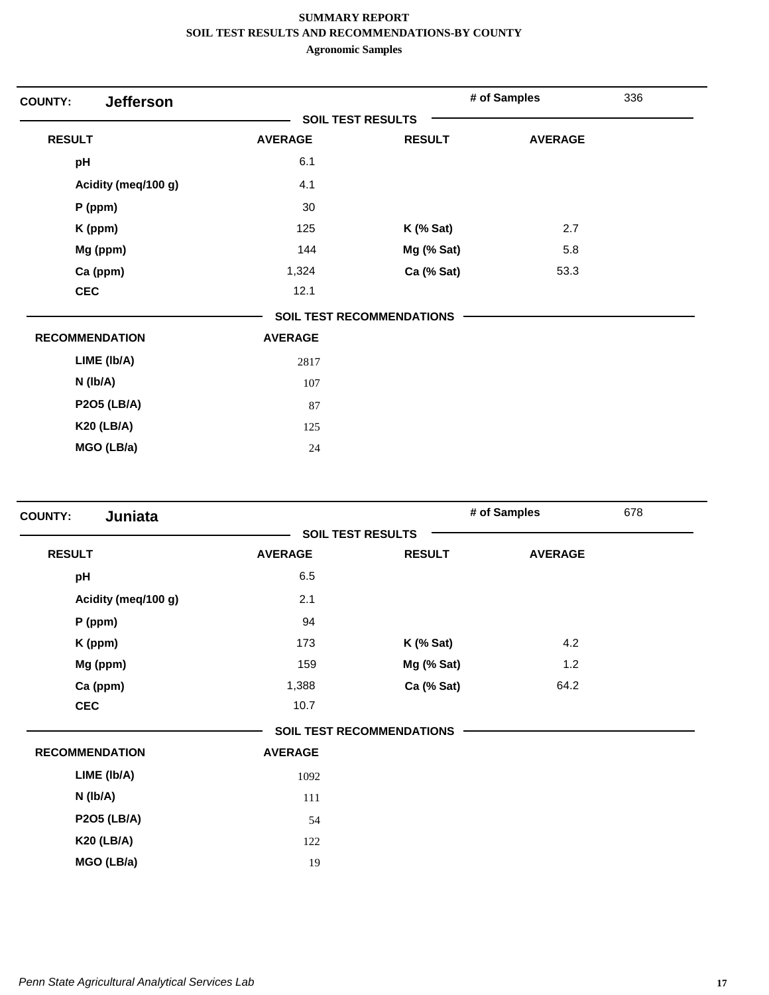| <b>Jefferson</b><br><b>COUNTY:</b> |                          |                           | # of Samples   | 336 |
|------------------------------------|--------------------------|---------------------------|----------------|-----|
|                                    | <b>SOIL TEST RESULTS</b> |                           |                |     |
| <b>RESULT</b>                      | <b>AVERAGE</b>           | <b>RESULT</b>             | <b>AVERAGE</b> |     |
| pH                                 | 6.1                      |                           |                |     |
| Acidity (meq/100 g)                | 4.1                      |                           |                |     |
| $P$ (ppm)                          | 30                       |                           |                |     |
| K (ppm)                            | 125                      | $K$ (% Sat)               | 2.7            |     |
| Mg (ppm)                           | 144                      | Mg (% Sat)                | 5.8            |     |
| Ca (ppm)                           | 1,324                    | Ca (% Sat)                | 53.3           |     |
| <b>CEC</b>                         | 12.1                     |                           |                |     |
|                                    |                          | SOIL TEST RECOMMENDATIONS |                |     |
| <b>RECOMMENDATION</b>              | <b>AVERAGE</b>           |                           |                |     |
| LIME (Ib/A)                        | 2817                     |                           |                |     |
| $N$ (lb/A)                         | 107                      |                           |                |     |
| <b>P2O5 (LB/A)</b>                 | 87                       |                           |                |     |
| <b>K20 (LB/A)</b>                  | 125                      |                           |                |     |
| MGO (LB/a)                         | 24                       |                           |                |     |

| Juniata<br><b>COUNTY:</b> |                |                                  | # of Samples                         | 678 |  |
|---------------------------|----------------|----------------------------------|--------------------------------------|-----|--|
|                           |                | <b>SOIL TEST RESULTS</b>         | <b>AVERAGE</b><br>4.2<br>1.2<br>64.2 |     |  |
| <b>RESULT</b>             | <b>AVERAGE</b> | <b>RESULT</b>                    |                                      |     |  |
| pH                        | 6.5            |                                  |                                      |     |  |
| Acidity (meq/100 g)       | 2.1            |                                  |                                      |     |  |
| $P$ (ppm)                 | 94             |                                  |                                      |     |  |
| K (ppm)                   | 173            | $K$ (% Sat)                      |                                      |     |  |
| Mg (ppm)                  | 159            | Mg (% Sat)                       |                                      |     |  |
| Ca (ppm)                  | 1,388          | Ca (% Sat)                       |                                      |     |  |
| <b>CEC</b>                | 10.7           |                                  |                                      |     |  |
|                           |                | <b>SOIL TEST RECOMMENDATIONS</b> |                                      |     |  |
| <b>RECOMMENDATION</b>     | <b>AVERAGE</b> |                                  |                                      |     |  |
| LIME (Ib/A)               | 1092           |                                  |                                      |     |  |
| $N$ ( $lb/A$ )            | 111            |                                  |                                      |     |  |
| <b>P2O5 (LB/A)</b>        | 54             |                                  |                                      |     |  |
| <b>K20 (LB/A)</b>         | 122            |                                  |                                      |     |  |
| MGO (LB/a)                | 19             |                                  |                                      |     |  |
|                           |                |                                  |                                      |     |  |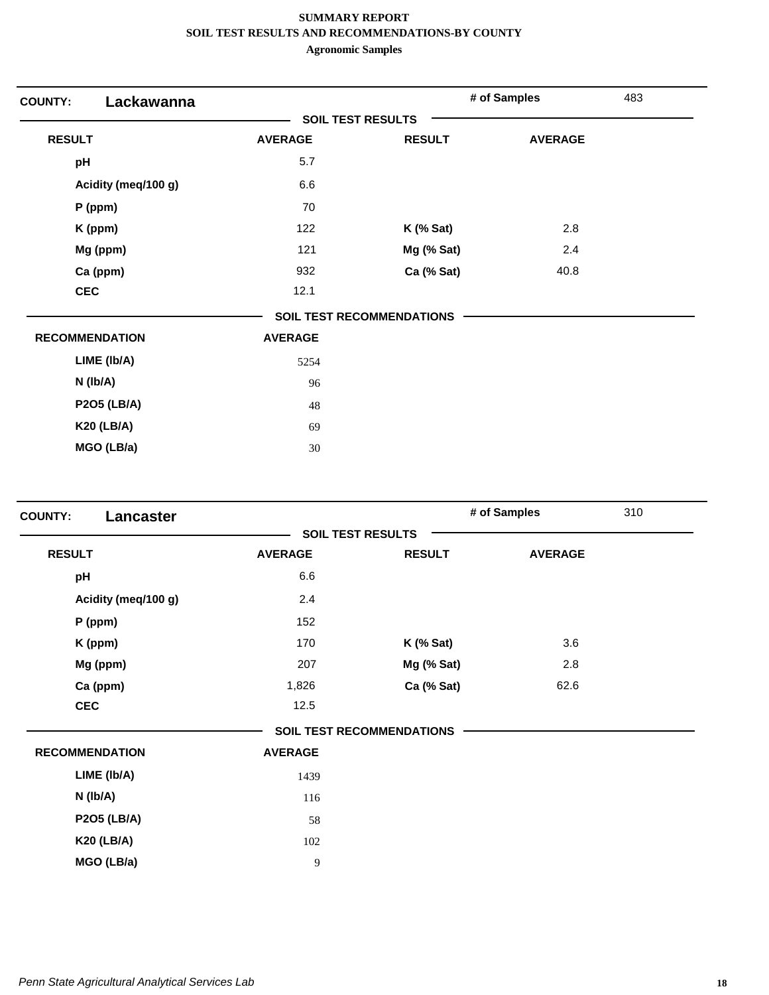| Lackawanna<br><b>COUNTY:</b> |                          |                           | # of Samples   | 483 |
|------------------------------|--------------------------|---------------------------|----------------|-----|
|                              | <b>SOIL TEST RESULTS</b> |                           |                |     |
| <b>RESULT</b>                | <b>AVERAGE</b>           | <b>RESULT</b>             | <b>AVERAGE</b> |     |
| pH                           | 5.7                      |                           |                |     |
| Acidity (meq/100 g)          | 6.6                      |                           |                |     |
| $P$ (ppm)                    | 70                       |                           |                |     |
| K (ppm)                      | 122                      | $K$ (% Sat)               | 2.8            |     |
| Mg (ppm)                     | 121                      | Mg (% Sat)                | 2.4            |     |
| Ca (ppm)                     | 932                      | Ca (% Sat)                | 40.8           |     |
| <b>CEC</b>                   | 12.1                     |                           |                |     |
|                              |                          | SOIL TEST RECOMMENDATIONS |                |     |
| <b>RECOMMENDATION</b>        | <b>AVERAGE</b>           |                           |                |     |
| LIME (Ib/A)                  | 5254                     |                           |                |     |
| N (Ib/A)                     | 96                       |                           |                |     |
| <b>P2O5 (LB/A)</b>           | 48                       |                           |                |     |
| <b>K20 (LB/A)</b>            | 69                       |                           |                |     |
| MGO (LB/a)                   | 30                       |                           |                |     |

| Lancaster<br><b>COUNTY:</b> |                          |                                  | # of Samples   | 310 |
|-----------------------------|--------------------------|----------------------------------|----------------|-----|
|                             | <b>SOIL TEST RESULTS</b> |                                  |                |     |
| <b>RESULT</b>               | <b>AVERAGE</b>           | <b>RESULT</b>                    | <b>AVERAGE</b> |     |
| pH                          | 6.6                      |                                  |                |     |
| Acidity (meq/100 g)         | 2.4                      |                                  |                |     |
| P (ppm)                     | 152                      |                                  |                |     |
| K (ppm)                     | 170                      | $K$ (% Sat)                      | 3.6            |     |
| Mg (ppm)                    | 207                      | Mg (% Sat)                       | 2.8            |     |
| Ca (ppm)                    | 1,826                    | Ca (% Sat)                       | 62.6           |     |
| <b>CEC</b>                  | 12.5                     |                                  |                |     |
|                             |                          | <b>SOIL TEST RECOMMENDATIONS</b> |                |     |
| <b>RECOMMENDATION</b>       | <b>AVERAGE</b>           |                                  |                |     |
| LIME (Ib/A)                 | 1439                     |                                  |                |     |
| N (Ib/A)                    | 116                      |                                  |                |     |
| <b>P2O5 (LB/A)</b>          | 58                       |                                  |                |     |
| <b>K20 (LB/A)</b>           | 102                      |                                  |                |     |
| MGO (LB/a)                  | 9                        |                                  |                |     |
|                             |                          |                                  |                |     |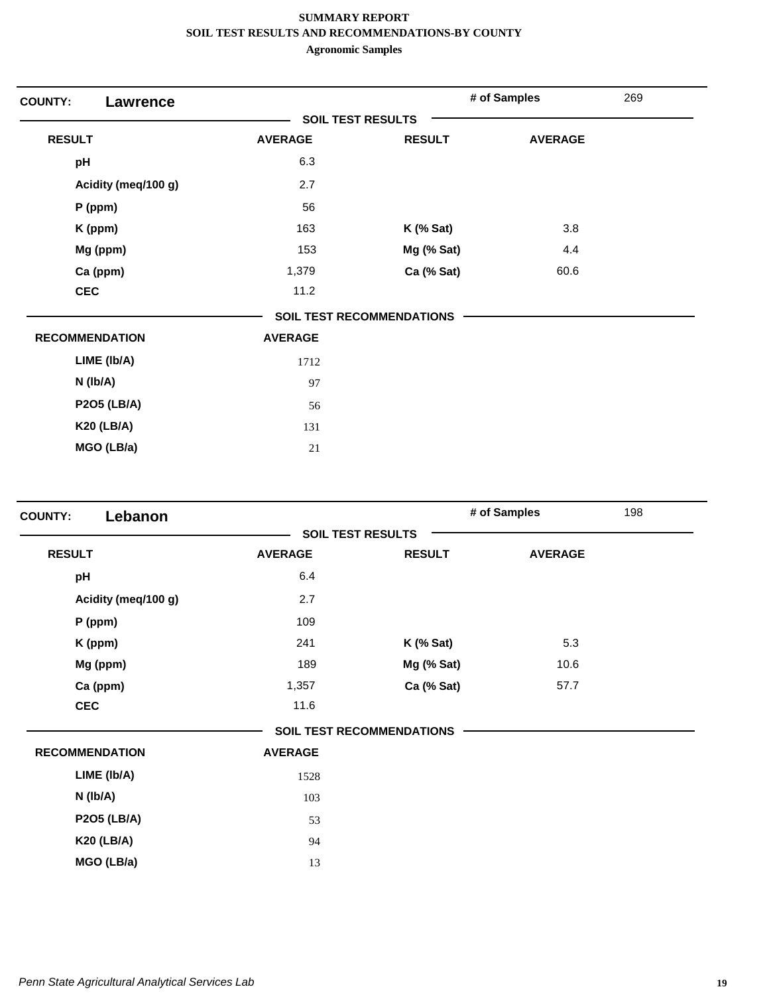| <b>COUNTY:</b><br><b>Lawrence</b> |                |                                  | # of Samples   | 269 |
|-----------------------------------|----------------|----------------------------------|----------------|-----|
|                                   |                | <b>SOIL TEST RESULTS</b>         |                |     |
| <b>RESULT</b>                     | <b>AVERAGE</b> | <b>RESULT</b>                    | <b>AVERAGE</b> |     |
| pH                                | 6.3            |                                  |                |     |
| Acidity (meq/100 g)               | 2.7            |                                  |                |     |
| P (ppm)                           | 56             |                                  |                |     |
| K (ppm)                           | 163            | $K$ (% Sat)                      | 3.8            |     |
| Mg (ppm)                          | 153            | Mg (% Sat)                       | 4.4            |     |
| Ca (ppm)                          | 1,379          | Ca (% Sat)                       | 60.6           |     |
| <b>CEC</b>                        | 11.2           |                                  |                |     |
|                                   |                | <b>SOIL TEST RECOMMENDATIONS</b> |                |     |
| <b>RECOMMENDATION</b>             | <b>AVERAGE</b> |                                  |                |     |
| LIME (Ib/A)                       | 1712           |                                  |                |     |
| N (Ib/A)                          | 97             |                                  |                |     |
| <b>P2O5 (LB/A)</b>                | 56             |                                  |                |     |
| <b>K20 (LB/A)</b>                 | 131            |                                  |                |     |
| MGO (LB/a)                        | 21             |                                  |                |     |

| Lebanon<br><b>COUNTY:</b> |                |                                  | # of Samples   | 198 |
|---------------------------|----------------|----------------------------------|----------------|-----|
|                           |                | <b>SOIL TEST RESULTS</b>         |                |     |
| <b>RESULT</b>             | <b>AVERAGE</b> | <b>RESULT</b>                    | <b>AVERAGE</b> |     |
| pH                        | 6.4            |                                  |                |     |
| Acidity (meq/100 g)       | 2.7            |                                  |                |     |
| P (ppm)                   | 109            |                                  |                |     |
| K (ppm)                   | 241            | $K$ (% Sat)                      | 5.3            |     |
| Mg (ppm)                  | 189            | Mg (% Sat)                       | 10.6           |     |
| Ca (ppm)                  | 1,357          | Ca (% Sat)                       | 57.7           |     |
| <b>CEC</b>                | 11.6           |                                  |                |     |
|                           |                | <b>SOIL TEST RECOMMENDATIONS</b> |                |     |
| <b>RECOMMENDATION</b>     | <b>AVERAGE</b> |                                  |                |     |
| LIME (Ib/A)               | 1528           |                                  |                |     |
| $N$ ( $lb/A$ )            | 103            |                                  |                |     |
| <b>P2O5 (LB/A)</b>        | 53             |                                  |                |     |
| <b>K20 (LB/A)</b>         | 94             |                                  |                |     |
| MGO (LB/a)                | 13             |                                  |                |     |
|                           |                |                                  |                |     |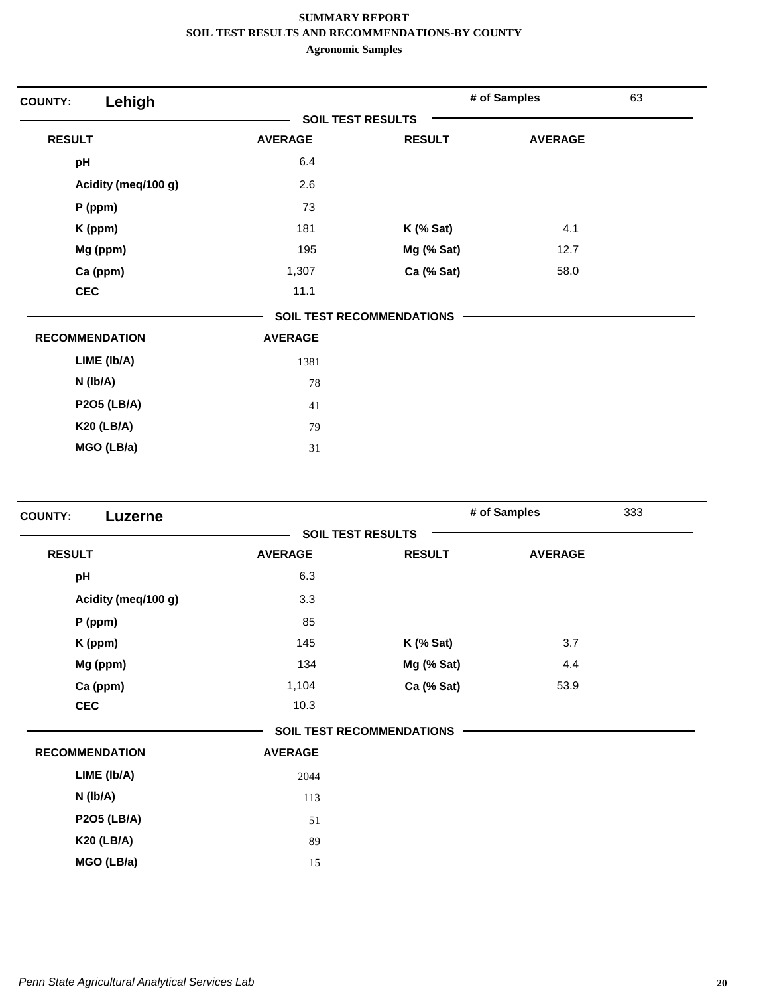| Lehigh<br><b>COUNTY:</b> |                |                                  | # of Samples   | 63 |
|--------------------------|----------------|----------------------------------|----------------|----|
|                          |                | <b>SOIL TEST RESULTS</b>         |                |    |
| <b>RESULT</b>            | <b>AVERAGE</b> | <b>RESULT</b>                    | <b>AVERAGE</b> |    |
| pH                       | 6.4            |                                  |                |    |
| Acidity (meq/100 g)      | 2.6            |                                  |                |    |
| P (ppm)                  | 73             |                                  |                |    |
| K (ppm)                  | 181            | $K$ (% Sat)                      | 4.1            |    |
| Mg (ppm)                 | 195            | Mg (% Sat)                       | 12.7           |    |
| Ca (ppm)                 | 1,307          | Ca (% Sat)                       | 58.0           |    |
| <b>CEC</b>               | 11.1           |                                  |                |    |
|                          |                | <b>SOIL TEST RECOMMENDATIONS</b> |                |    |
| <b>RECOMMENDATION</b>    | <b>AVERAGE</b> |                                  |                |    |
| LIME (Ib/A)              | 1381           |                                  |                |    |
| $N$ ( $lb/A$ )           | 78             |                                  |                |    |
| <b>P2O5 (LB/A)</b>       | 41             |                                  |                |    |
| <b>K20 (LB/A)</b>        | 79             |                                  |                |    |
| MGO (LB/a)               | 31             |                                  |                |    |

|                |               |                                                              | 333          |
|----------------|---------------|--------------------------------------------------------------|--------------|
|                |               |                                                              |              |
| <b>AVERAGE</b> | <b>RESULT</b> | <b>AVERAGE</b>                                               |              |
| 6.3            |               |                                                              |              |
| 3.3            |               |                                                              |              |
| 85             |               |                                                              |              |
| 145            | $K$ (% Sat)   | 3.7                                                          |              |
| 134            | Mg (% Sat)    | 4.4                                                          |              |
| 1,104          | Ca (% Sat)    | 53.9                                                         |              |
| 10.3           |               |                                                              |              |
|                |               |                                                              |              |
| <b>AVERAGE</b> |               |                                                              |              |
| 2044           |               |                                                              |              |
| 113            |               |                                                              |              |
| 51             |               |                                                              |              |
| 89             |               |                                                              |              |
| 15             |               |                                                              |              |
|                |               | <b>SOIL TEST RESULTS</b><br><b>SOIL TEST RECOMMENDATIONS</b> | # of Samples |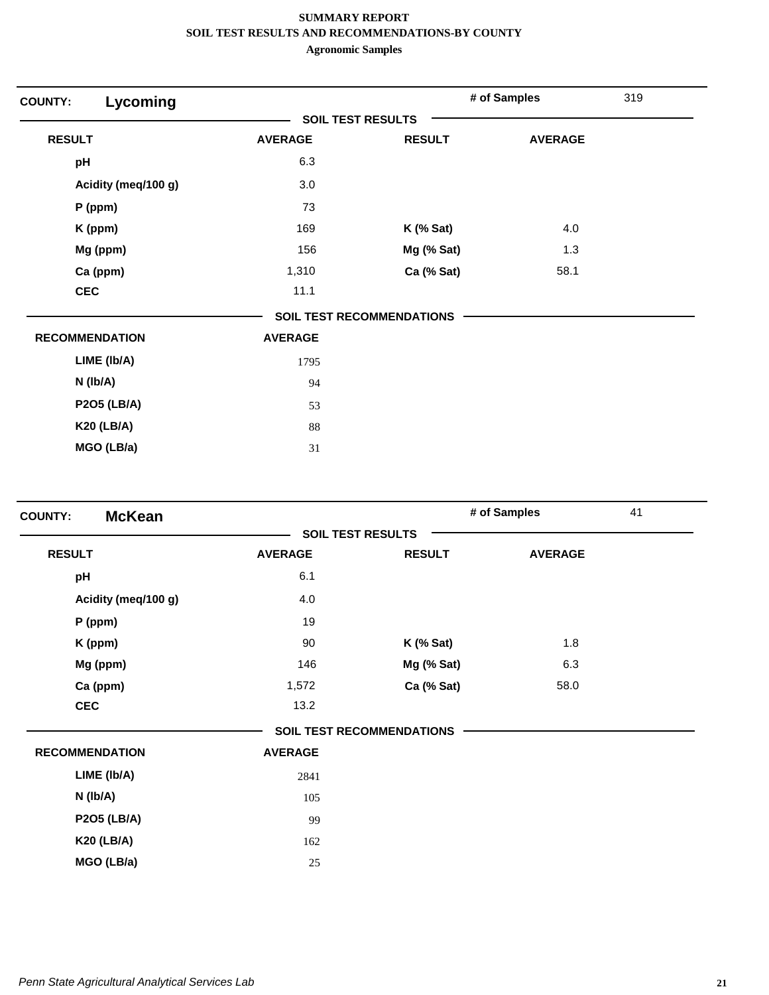| Lycoming<br><b>COUNTY:</b> |                |                                  | # of Samples   | 319 |
|----------------------------|----------------|----------------------------------|----------------|-----|
|                            |                | <b>SOIL TEST RESULTS</b>         |                |     |
| <b>RESULT</b>              | <b>AVERAGE</b> | <b>RESULT</b>                    | <b>AVERAGE</b> |     |
| pH                         | 6.3            |                                  |                |     |
| Acidity (meq/100 g)        | 3.0            |                                  |                |     |
| $P$ (ppm)                  | 73             |                                  |                |     |
| K (ppm)                    | 169            | $K$ (% Sat)                      | 4.0            |     |
| Mg (ppm)                   | 156            | Mg (% Sat)                       | 1.3            |     |
| Ca (ppm)                   | 1,310          | Ca (% Sat)                       | 58.1           |     |
| <b>CEC</b>                 | 11.1           |                                  |                |     |
|                            |                | <b>SOIL TEST RECOMMENDATIONS</b> |                |     |
| <b>RECOMMENDATION</b>      | <b>AVERAGE</b> |                                  |                |     |
| LIME (Ib/A)                | 1795           |                                  |                |     |
| $N$ ( $lb/A$ )             | 94             |                                  |                |     |
| <b>P2O5 (LB/A)</b>         | 53             |                                  |                |     |
| <b>K20 (LB/A)</b>          | 88             |                                  |                |     |
| MGO (LB/a)                 | 31             |                                  |                |     |

| <b>McKean</b><br><b>COUNTY:</b> |                |                                  | # of Samples   | 41 |
|---------------------------------|----------------|----------------------------------|----------------|----|
|                                 |                | <b>SOIL TEST RESULTS</b>         |                |    |
| <b>RESULT</b>                   | <b>AVERAGE</b> | <b>RESULT</b>                    | <b>AVERAGE</b> |    |
| pH                              | 6.1            |                                  |                |    |
| Acidity (meq/100 g)             | 4.0            |                                  |                |    |
| P (ppm)                         | 19             |                                  |                |    |
| K (ppm)                         | 90             | $K$ (% Sat)                      | 1.8            |    |
| Mg (ppm)                        | 146            | Mg (% Sat)                       | 6.3            |    |
| Ca (ppm)                        | 1,572          | Ca (% Sat)                       | 58.0           |    |
| <b>CEC</b>                      | 13.2           |                                  |                |    |
|                                 |                | <b>SOIL TEST RECOMMENDATIONS</b> |                |    |
| <b>RECOMMENDATION</b>           | <b>AVERAGE</b> |                                  |                |    |
| LIME (Ib/A)                     | 2841           |                                  |                |    |
| N (lb/A)                        | 105            |                                  |                |    |
| <b>P2O5 (LB/A)</b>              | 99             |                                  |                |    |
| <b>K20 (LB/A)</b>               | 162            |                                  |                |    |
| MGO (LB/a)                      | 25             |                                  |                |    |
|                                 |                |                                  |                |    |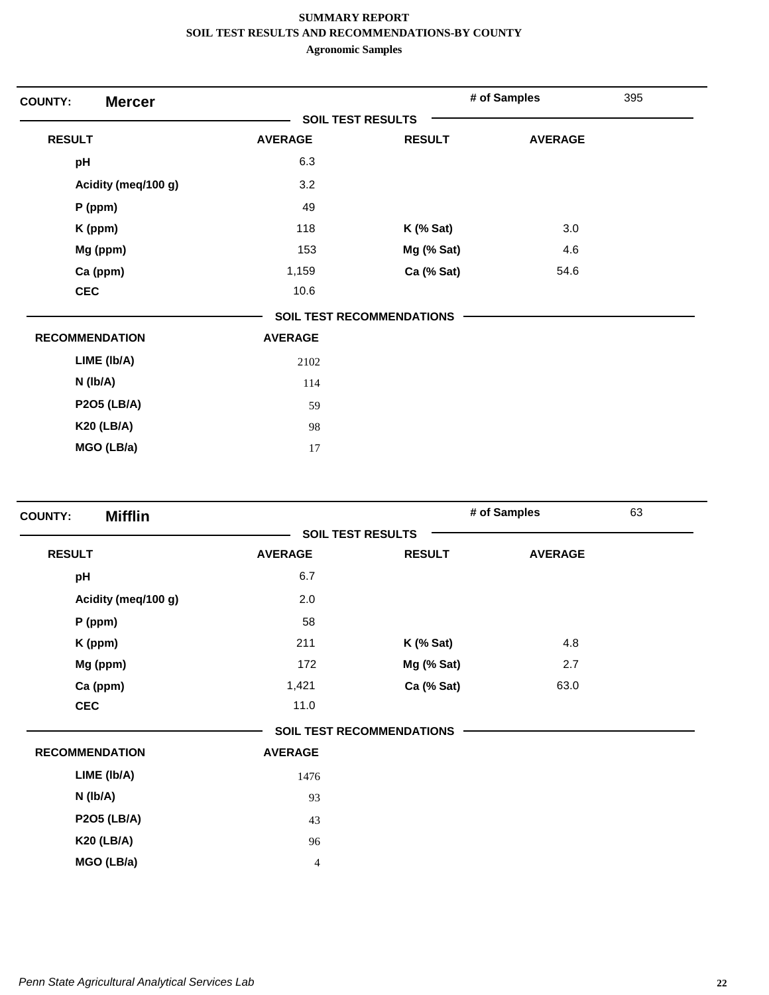| <b>Mercer</b><br><b>COUNTY:</b> |                |                                  | # of Samples   | 395 |
|---------------------------------|----------------|----------------------------------|----------------|-----|
|                                 |                | <b>SOIL TEST RESULTS</b>         |                |     |
| <b>RESULT</b>                   | <b>AVERAGE</b> | <b>RESULT</b>                    | <b>AVERAGE</b> |     |
| pH                              | 6.3            |                                  |                |     |
| Acidity (meq/100 g)             | 3.2            |                                  |                |     |
| $P$ (ppm)                       | 49             |                                  |                |     |
| K (ppm)                         | 118            | $K$ (% Sat)                      | 3.0            |     |
| Mg (ppm)                        | 153            | Mg (% Sat)                       | 4.6            |     |
| Ca (ppm)                        | 1,159          | Ca (% Sat)                       | 54.6           |     |
| <b>CEC</b>                      | 10.6           |                                  |                |     |
|                                 |                | <b>SOIL TEST RECOMMENDATIONS</b> |                |     |
| <b>RECOMMENDATION</b>           | <b>AVERAGE</b> |                                  |                |     |
| LIME (Ib/A)                     | 2102           |                                  |                |     |
| $N$ (lb/A)                      | 114            |                                  |                |     |
| <b>P2O5 (LB/A)</b>              | 59             |                                  |                |     |
| <b>K20 (LB/A)</b>               | 98             |                                  |                |     |
| MGO (LB/a)                      | 17             |                                  |                |     |

| <b>Mifflin</b><br><b>COUNTY:</b> |                |                                  | # of Samples   | 63 |
|----------------------------------|----------------|----------------------------------|----------------|----|
|                                  |                | <b>SOIL TEST RESULTS</b>         |                |    |
| <b>RESULT</b>                    | <b>AVERAGE</b> | <b>RESULT</b>                    | <b>AVERAGE</b> |    |
| pH                               | 6.7            |                                  |                |    |
| Acidity (meq/100 g)              | 2.0            |                                  |                |    |
| $P$ (ppm)                        | 58             |                                  |                |    |
| K (ppm)                          | 211            | $K$ (% Sat)                      | 4.8            |    |
| Mg (ppm)                         | 172            | Mg (% Sat)                       | 2.7            |    |
| Ca (ppm)                         | 1,421          | Ca (% Sat)                       | 63.0           |    |
| <b>CEC</b>                       | 11.0           |                                  |                |    |
|                                  |                | <b>SOIL TEST RECOMMENDATIONS</b> |                |    |
| <b>RECOMMENDATION</b>            | <b>AVERAGE</b> |                                  |                |    |
| LIME (Ib/A)                      | 1476           |                                  |                |    |
| $N$ (lb/A)                       | 93             |                                  |                |    |
| <b>P2O5 (LB/A)</b>               | 43             |                                  |                |    |
| <b>K20 (LB/A)</b>                | 96             |                                  |                |    |
| MGO (LB/a)                       | $\overline{4}$ |                                  |                |    |
|                                  |                |                                  |                |    |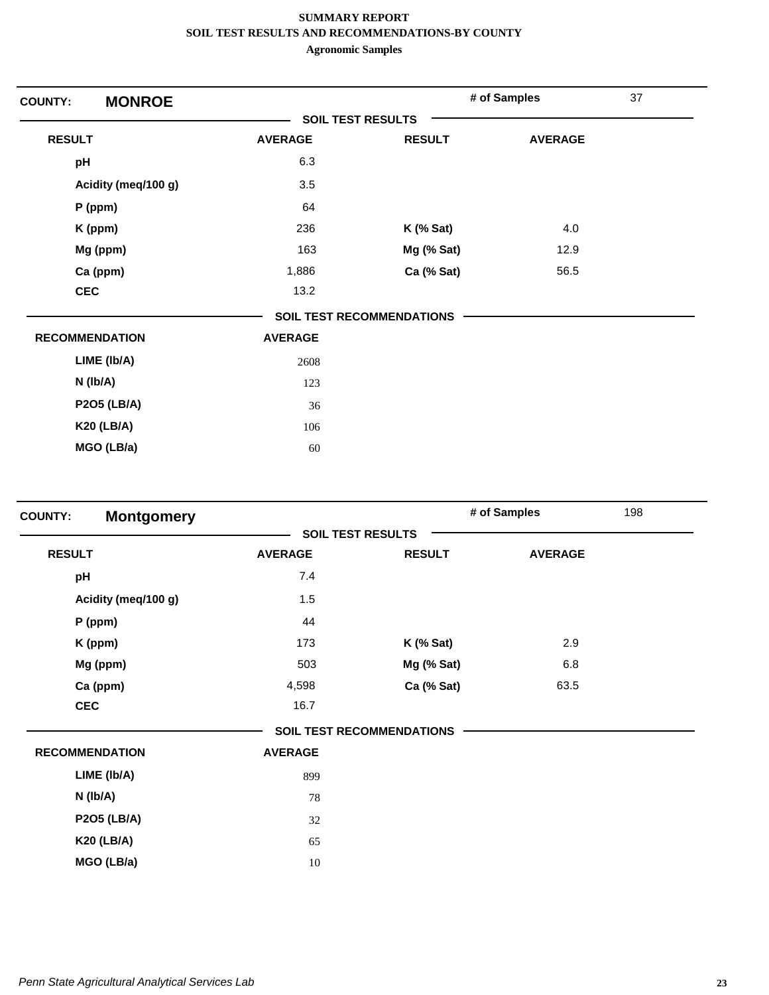| <b>MONROE</b><br><b>COUNTY:</b> |                          |                                  | # of Samples   | 37 |
|---------------------------------|--------------------------|----------------------------------|----------------|----|
|                                 | <b>SOIL TEST RESULTS</b> |                                  |                |    |
| <b>RESULT</b>                   | <b>AVERAGE</b>           | <b>RESULT</b>                    | <b>AVERAGE</b> |    |
| pH                              | 6.3                      |                                  |                |    |
| Acidity (meq/100 g)             | 3.5                      |                                  |                |    |
| $P$ (ppm)                       | 64                       |                                  |                |    |
| K (ppm)                         | 236                      | $K$ (% Sat)                      | 4.0            |    |
| Mg (ppm)                        | 163                      | Mg (% Sat)                       | 12.9           |    |
| Ca (ppm)                        | 1,886                    | Ca (% Sat)                       | 56.5           |    |
| <b>CEC</b>                      | 13.2                     |                                  |                |    |
|                                 |                          | <b>SOIL TEST RECOMMENDATIONS</b> |                |    |
| <b>RECOMMENDATION</b>           | <b>AVERAGE</b>           |                                  |                |    |
| LIME (Ib/A)                     | 2608                     |                                  |                |    |
| N (Ib/A)                        | 123                      |                                  |                |    |
| <b>P2O5 (LB/A)</b>              | 36                       |                                  |                |    |
| <b>K20 (LB/A)</b>               | 106                      |                                  |                |    |
| MGO (LB/a)                      | 60                       |                                  |                |    |

|                |               | # of Samples                                                 | 198 |
|----------------|---------------|--------------------------------------------------------------|-----|
|                |               |                                                              |     |
| <b>AVERAGE</b> | <b>RESULT</b> | <b>AVERAGE</b>                                               |     |
| 7.4            |               |                                                              |     |
| 1.5            |               |                                                              |     |
| 44             |               |                                                              |     |
| 173            | $K$ (% Sat)   | 2.9                                                          |     |
| 503            | Mg (% Sat)    | 6.8                                                          |     |
| 4,598          | Ca (% Sat)    | 63.5                                                         |     |
| 16.7           |               |                                                              |     |
|                |               |                                                              |     |
| <b>AVERAGE</b> |               |                                                              |     |
| 899            |               |                                                              |     |
| 78             |               |                                                              |     |
| 32             |               |                                                              |     |
| 65             |               |                                                              |     |
| 10             |               |                                                              |     |
|                |               | <b>SOIL TEST RESULTS</b><br><b>SOIL TEST RECOMMENDATIONS</b> |     |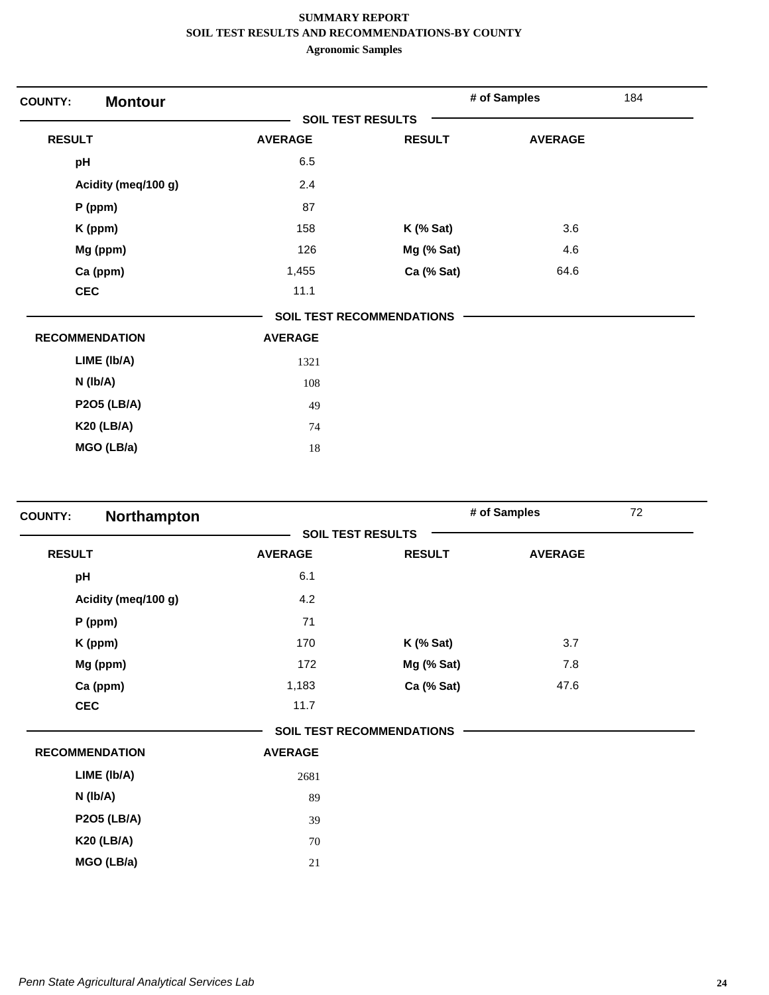| <b>Montour</b><br><b>COUNTY:</b> |                          |                           | # of Samples   | 184 |
|----------------------------------|--------------------------|---------------------------|----------------|-----|
|                                  | <b>SOIL TEST RESULTS</b> |                           |                |     |
| <b>RESULT</b>                    | <b>AVERAGE</b>           | <b>RESULT</b>             | <b>AVERAGE</b> |     |
| pH                               | 6.5                      |                           |                |     |
| Acidity (meq/100 g)              | 2.4                      |                           |                |     |
| $P$ (ppm)                        | 87                       |                           |                |     |
| K (ppm)                          | 158                      | $K$ (% Sat)               | 3.6            |     |
| Mg (ppm)                         | 126                      | Mg (% Sat)                | 4.6            |     |
| Ca (ppm)                         | 1,455                    | Ca (% Sat)                | 64.6           |     |
| <b>CEC</b>                       | 11.1                     |                           |                |     |
|                                  |                          | SOIL TEST RECOMMENDATIONS |                |     |
| <b>RECOMMENDATION</b>            | <b>AVERAGE</b>           |                           |                |     |
| LIME (Ib/A)                      | 1321                     |                           |                |     |
| $N$ (lb/A)                       | 108                      |                           |                |     |
| <b>P2O5 (LB/A)</b>               | 49                       |                           |                |     |
| <b>K20 (LB/A)</b>                | 74                       |                           |                |     |
| MGO (LB/a)                       | 18                       |                           |                |     |

| <b>COUNTY:</b> | Northampton           |                |                                  | # of Samples   | 72 |
|----------------|-----------------------|----------------|----------------------------------|----------------|----|
|                |                       |                | <b>SOIL TEST RESULTS</b>         |                |    |
| <b>RESULT</b>  |                       | <b>AVERAGE</b> | <b>RESULT</b>                    | <b>AVERAGE</b> |    |
| pH             |                       | 6.1            |                                  |                |    |
|                | Acidity (meq/100 g)   | 4.2            |                                  |                |    |
|                | P (ppm)               | 71             |                                  |                |    |
|                | K (ppm)               | 170            | $K$ (% Sat)                      | 3.7            |    |
|                | Mg (ppm)              | 172            | Mg (% Sat)                       | 7.8            |    |
|                | Ca (ppm)              | 1,183          | Ca (% Sat)                       | 47.6           |    |
| <b>CEC</b>     |                       | 11.7           |                                  |                |    |
|                |                       |                | <b>SOIL TEST RECOMMENDATIONS</b> |                |    |
|                | <b>RECOMMENDATION</b> | <b>AVERAGE</b> |                                  |                |    |
|                | LIME (Ib/A)           | 2681           |                                  |                |    |
|                | N (Ib/A)              | 89             |                                  |                |    |
|                | <b>P2O5 (LB/A)</b>    | 39             |                                  |                |    |
|                | <b>K20 (LB/A)</b>     | 70             |                                  |                |    |
|                | MGO (LB/a)            | 21             |                                  |                |    |
|                |                       |                |                                  |                |    |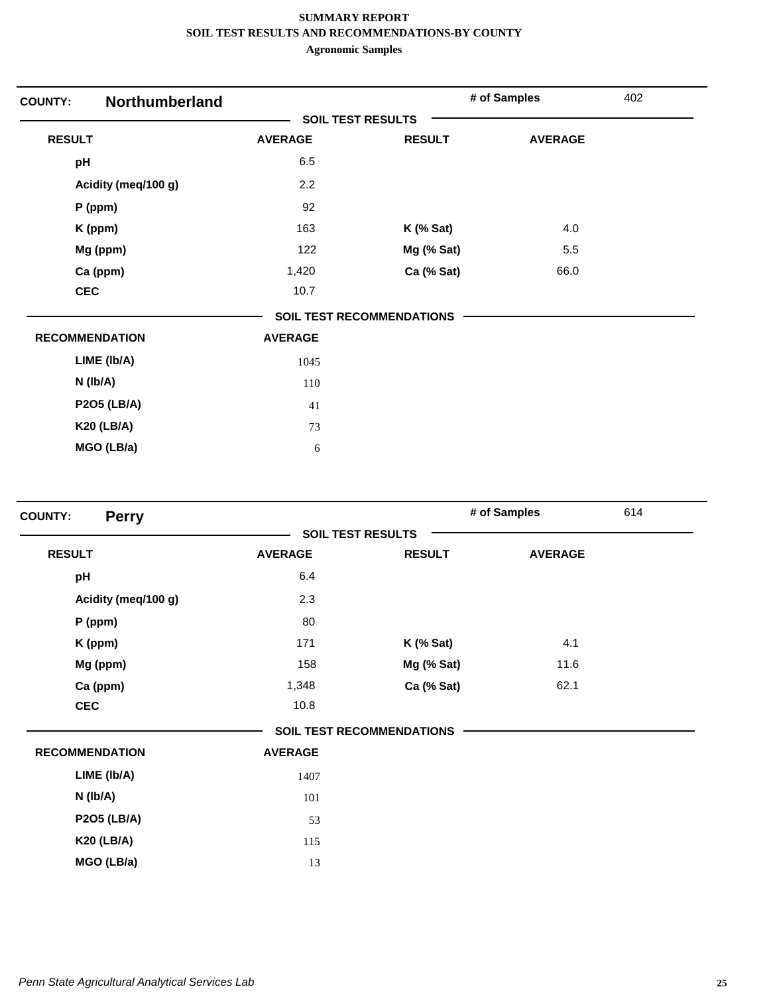| <b>Northumberland</b><br><b>COUNTY:</b> |                |                                  | # of Samples   | 402 |
|-----------------------------------------|----------------|----------------------------------|----------------|-----|
|                                         |                | <b>SOIL TEST RESULTS</b>         |                |     |
| <b>RESULT</b>                           | <b>AVERAGE</b> | <b>RESULT</b>                    | <b>AVERAGE</b> |     |
| pH                                      | 6.5            |                                  |                |     |
| Acidity (meq/100 g)                     | 2.2            |                                  |                |     |
| P (ppm)                                 | 92             |                                  |                |     |
| K (ppm)                                 | 163            | $K$ (% Sat)                      | 4.0            |     |
| Mg (ppm)                                | 122            | Mg (% Sat)                       | 5.5            |     |
| Ca (ppm)                                | 1,420          | Ca (% Sat)                       | 66.0           |     |
| <b>CEC</b>                              | 10.7           |                                  |                |     |
|                                         |                | <b>SOIL TEST RECOMMENDATIONS</b> |                |     |
| <b>RECOMMENDATION</b>                   | <b>AVERAGE</b> |                                  |                |     |
| LIME (Ib/A)                             | 1045           |                                  |                |     |
| N (Ib/A)                                | 110            |                                  |                |     |
| <b>P2O5 (LB/A)</b>                      | 41             |                                  |                |     |
| <b>K20 (LB/A)</b>                       | 73             |                                  |                |     |
| MGO (LB/a)                              | 6              |                                  |                |     |

|                |                  |                                                              | 614          |
|----------------|------------------|--------------------------------------------------------------|--------------|
|                |                  |                                                              |              |
| <b>AVERAGE</b> | <b>RESULT</b>    | <b>AVERAGE</b>                                               |              |
| 6.4            |                  |                                                              |              |
| 2.3            |                  |                                                              |              |
| 80             |                  |                                                              |              |
| 171            | <b>K</b> (% Sat) | 4.1                                                          |              |
| 158            | Mg (% Sat)       | 11.6                                                         |              |
| 1,348          | Ca (% Sat)       | 62.1                                                         |              |
| 10.8           |                  |                                                              |              |
|                |                  |                                                              |              |
| <b>AVERAGE</b> |                  |                                                              |              |
| 1407           |                  |                                                              |              |
| 101            |                  |                                                              |              |
| 53             |                  |                                                              |              |
| 115            |                  |                                                              |              |
| 13             |                  |                                                              |              |
|                |                  | <b>SOIL TEST RESULTS</b><br><b>SOIL TEST RECOMMENDATIONS</b> | # of Samples |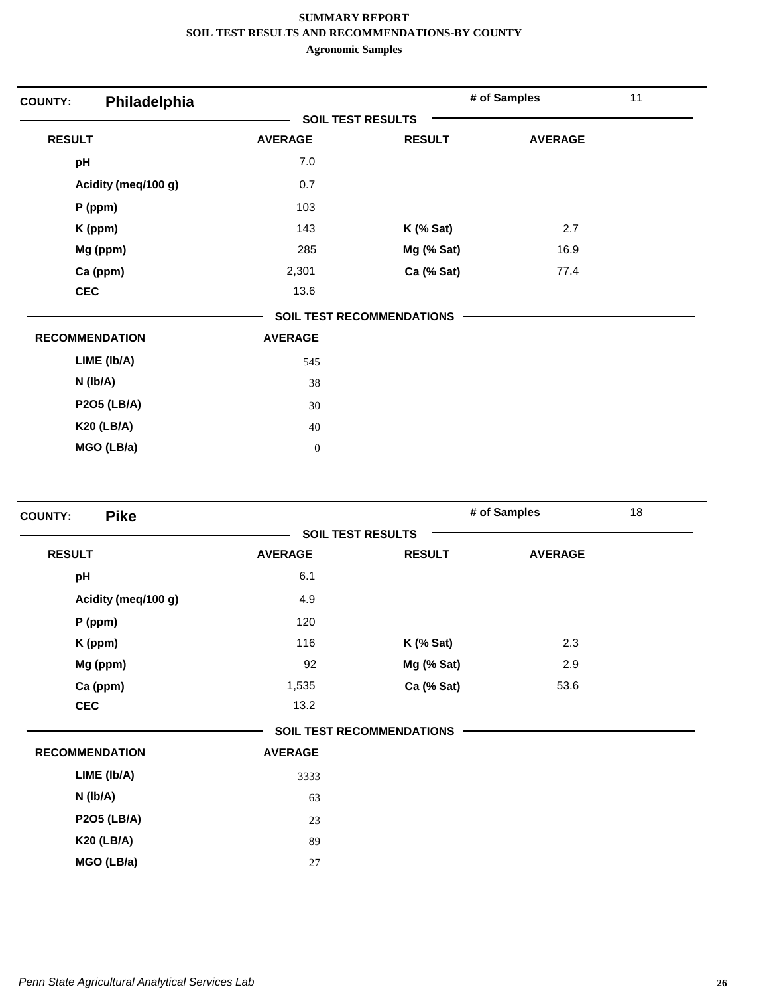| Philadelphia<br><b>COUNTY:</b> |                          |                                  | # of Samples   | 11 |
|--------------------------------|--------------------------|----------------------------------|----------------|----|
|                                | <b>SOIL TEST RESULTS</b> |                                  |                |    |
| <b>RESULT</b>                  | <b>AVERAGE</b>           | <b>RESULT</b>                    | <b>AVERAGE</b> |    |
| pH                             | 7.0                      |                                  |                |    |
| Acidity (meq/100 g)            | 0.7                      |                                  |                |    |
| P (ppm)                        | 103                      |                                  |                |    |
| K (ppm)                        | 143                      | $K$ (% Sat)                      | 2.7            |    |
| Mg (ppm)                       | 285                      | Mg (% Sat)                       | 16.9           |    |
| Ca (ppm)                       | 2,301                    | Ca (% Sat)                       | 77.4           |    |
| <b>CEC</b>                     | 13.6                     |                                  |                |    |
|                                |                          | <b>SOIL TEST RECOMMENDATIONS</b> |                |    |
| <b>RECOMMENDATION</b>          | <b>AVERAGE</b>           |                                  |                |    |
| LIME (Ib/A)                    | 545                      |                                  |                |    |
| $N$ ( $lb/A$ )                 | 38                       |                                  |                |    |
| <b>P2O5 (LB/A)</b>             | 30                       |                                  |                |    |
| <b>K20 (LB/A)</b>              | 40                       |                                  |                |    |
| MGO (LB/a)                     | $\mathbf{0}$             |                                  |                |    |

| <b>Pike</b><br><b>SOIL TEST RESULTS</b><br><b>RESULT</b><br><b>AVERAGE</b><br><b>RESULT</b><br><b>AVERAGE</b><br>6.1<br>pH<br>4.9<br>Acidity (meq/100 g)<br>120<br>P (ppm)<br>116<br>2.3 |  |
|------------------------------------------------------------------------------------------------------------------------------------------------------------------------------------------|--|
|                                                                                                                                                                                          |  |
|                                                                                                                                                                                          |  |
|                                                                                                                                                                                          |  |
|                                                                                                                                                                                          |  |
|                                                                                                                                                                                          |  |
| K (ppm)<br>$K$ (% Sat)                                                                                                                                                                   |  |
| 92<br>Mg (ppm)<br>2.9<br>Mg (% Sat)                                                                                                                                                      |  |
| 53.6<br>Ca (ppm)<br>1,535<br>Ca (% Sat)                                                                                                                                                  |  |
| <b>CEC</b><br>13.2                                                                                                                                                                       |  |
| <b>SOIL TEST RECOMMENDATIONS</b>                                                                                                                                                         |  |
| <b>RECOMMENDATION</b><br><b>AVERAGE</b>                                                                                                                                                  |  |
| LIME (Ib/A)<br>3333                                                                                                                                                                      |  |
| N (lb/A)<br>63                                                                                                                                                                           |  |
| <b>P2O5 (LB/A)</b><br>23                                                                                                                                                                 |  |
| <b>K20 (LB/A)</b><br>89                                                                                                                                                                  |  |
| MGO (LB/a)<br>27                                                                                                                                                                         |  |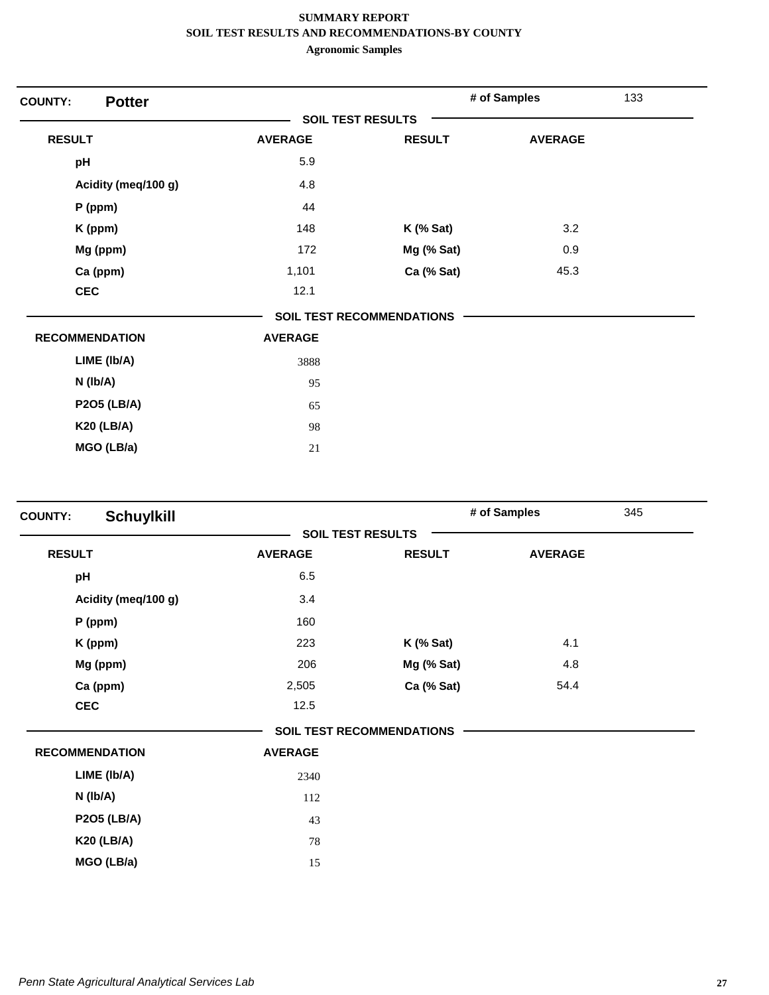| <b>Potter</b><br><b>COUNTY:</b> |                          |                                  | # of Samples   | 133 |
|---------------------------------|--------------------------|----------------------------------|----------------|-----|
|                                 | <b>SOIL TEST RESULTS</b> |                                  |                |     |
| <b>RESULT</b>                   | <b>AVERAGE</b>           | <b>RESULT</b>                    | <b>AVERAGE</b> |     |
| pH                              | 5.9                      |                                  |                |     |
| Acidity (meq/100 g)             | 4.8                      |                                  |                |     |
| $P$ (ppm)                       | 44                       |                                  |                |     |
| K (ppm)                         | 148                      | $K$ (% Sat)                      | 3.2            |     |
| Mg (ppm)                        | 172                      | Mg (% Sat)                       | 0.9            |     |
| Ca (ppm)                        | 1,101                    | Ca (% Sat)                       | 45.3           |     |
| <b>CEC</b>                      | 12.1                     |                                  |                |     |
|                                 |                          | <b>SOIL TEST RECOMMENDATIONS</b> |                |     |
| <b>RECOMMENDATION</b>           | <b>AVERAGE</b>           |                                  |                |     |
| LIME (Ib/A)                     | 3888                     |                                  |                |     |
| $N$ (lb/A)                      | 95                       |                                  |                |     |
| <b>P2O5 (LB/A)</b>              | 65                       |                                  |                |     |
| <b>K20 (LB/A)</b>               | 98                       |                                  |                |     |
| MGO (LB/a)                      | 21                       |                                  |                |     |

| <b>Schuylkill</b><br><b>COUNTY:</b> |                |                                  | # of Samples   | 345 |
|-------------------------------------|----------------|----------------------------------|----------------|-----|
|                                     |                | <b>SOIL TEST RESULTS</b>         |                |     |
| <b>RESULT</b>                       | <b>AVERAGE</b> | <b>RESULT</b>                    | <b>AVERAGE</b> |     |
| pH                                  | 6.5            |                                  |                |     |
| Acidity (meq/100 g)                 | 3.4            |                                  |                |     |
| $P$ (ppm)                           | 160            |                                  |                |     |
| K (ppm)                             | 223            | $K$ (% Sat)                      | 4.1            |     |
| Mg (ppm)                            | 206            | Mg (% Sat)                       | 4.8            |     |
| Ca (ppm)                            | 2,505          | Ca (% Sat)                       | 54.4           |     |
| <b>CEC</b>                          | 12.5           |                                  |                |     |
|                                     |                | <b>SOIL TEST RECOMMENDATIONS</b> |                |     |
| <b>RECOMMENDATION</b>               | <b>AVERAGE</b> |                                  |                |     |
| LIME (Ib/A)                         | 2340           |                                  |                |     |
| N (lb/A)                            | 112            |                                  |                |     |
| <b>P2O5 (LB/A)</b>                  | 43             |                                  |                |     |
| <b>K20 (LB/A)</b>                   | 78             |                                  |                |     |
| MGO (LB/a)                          | 15             |                                  |                |     |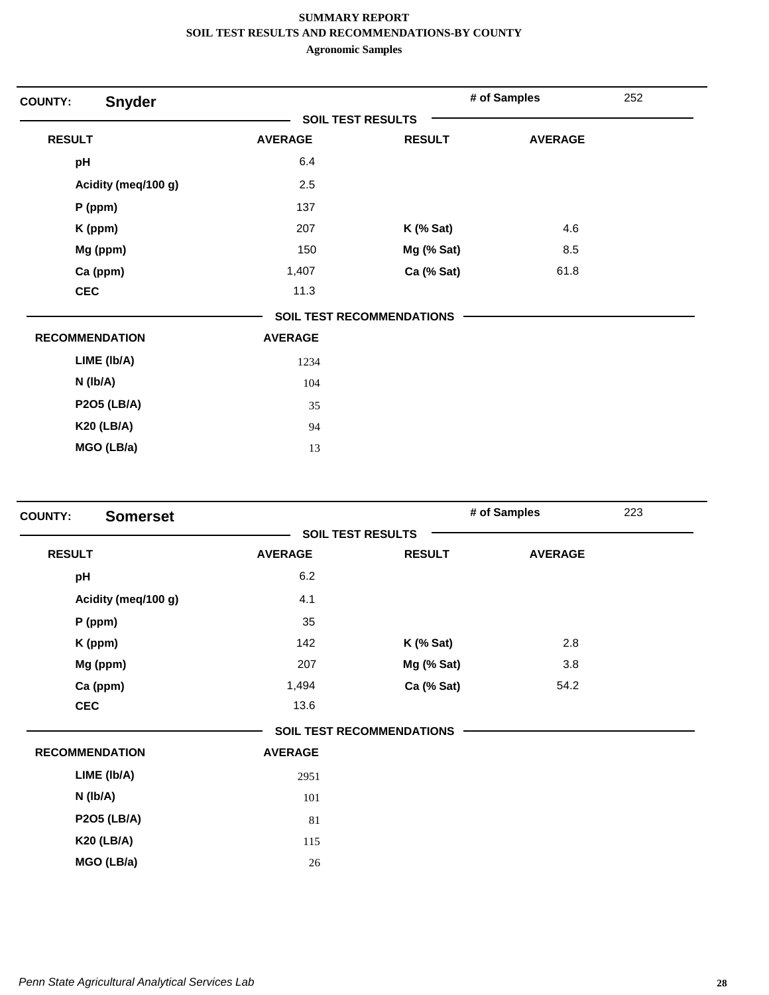| <b>COUNTY:</b>        | <b>Snyder</b>       |                          |                                  | # of Samples   | 252 |
|-----------------------|---------------------|--------------------------|----------------------------------|----------------|-----|
|                       |                     | <b>SOIL TEST RESULTS</b> |                                  |                |     |
| <b>RESULT</b>         |                     | <b>AVERAGE</b>           | <b>RESULT</b>                    | <b>AVERAGE</b> |     |
| pH                    |                     | 6.4                      |                                  |                |     |
|                       | Acidity (meq/100 g) | 2.5                      |                                  |                |     |
|                       | $P$ (ppm)           | 137                      |                                  |                |     |
|                       | K (ppm)             | 207                      | <b>K</b> (% Sat)                 | 4.6            |     |
|                       | Mg (ppm)            | 150                      | Mg (% Sat)                       | 8.5            |     |
|                       | Ca (ppm)            | 1,407                    | Ca (% Sat)                       | 61.8           |     |
| <b>CEC</b>            |                     | 11.3                     |                                  |                |     |
|                       |                     |                          | <b>SOIL TEST RECOMMENDATIONS</b> |                |     |
| <b>RECOMMENDATION</b> |                     | <b>AVERAGE</b>           |                                  |                |     |
|                       | LIME (Ib/A)         | 1234                     |                                  |                |     |
|                       | $N$ ( $lb/A$ )      | 104                      |                                  |                |     |
|                       | <b>P2O5 (LB/A)</b>  | 35                       |                                  |                |     |
|                       | <b>K20 (LB/A)</b>   | 94                       |                                  |                |     |
|                       | MGO (LB/a)          | 13                       |                                  |                |     |

| <b>COUNTY:</b>        | <b>Somerset</b>     |                |                                  | 223<br># of Samples |  |
|-----------------------|---------------------|----------------|----------------------------------|---------------------|--|
|                       |                     |                | <b>SOIL TEST RESULTS</b>         |                     |  |
| <b>RESULT</b>         |                     | <b>AVERAGE</b> | <b>RESULT</b>                    | <b>AVERAGE</b>      |  |
| pH                    |                     | 6.2            |                                  |                     |  |
|                       | Acidity (meq/100 g) | 4.1            |                                  |                     |  |
|                       | P (ppm)             | 35             |                                  |                     |  |
|                       | K (ppm)             | 142            | $K$ (% Sat)                      | 2.8                 |  |
|                       | Mg (ppm)            | 207            | Mg (% Sat)                       | 3.8                 |  |
|                       | Ca (ppm)            | 1,494          | Ca (% Sat)                       | 54.2                |  |
| <b>CEC</b>            |                     | 13.6           |                                  |                     |  |
|                       |                     |                | <b>SOIL TEST RECOMMENDATIONS</b> |                     |  |
| <b>RECOMMENDATION</b> |                     | <b>AVERAGE</b> |                                  |                     |  |
|                       | LIME (Ib/A)         | 2951           |                                  |                     |  |
|                       | $N$ ( $lb/A$ )      | 101            |                                  |                     |  |
|                       | <b>P2O5 (LB/A)</b>  | 81             |                                  |                     |  |
|                       | <b>K20 (LB/A)</b>   | 115            |                                  |                     |  |
|                       | MGO (LB/a)          | 26             |                                  |                     |  |
|                       |                     |                |                                  |                     |  |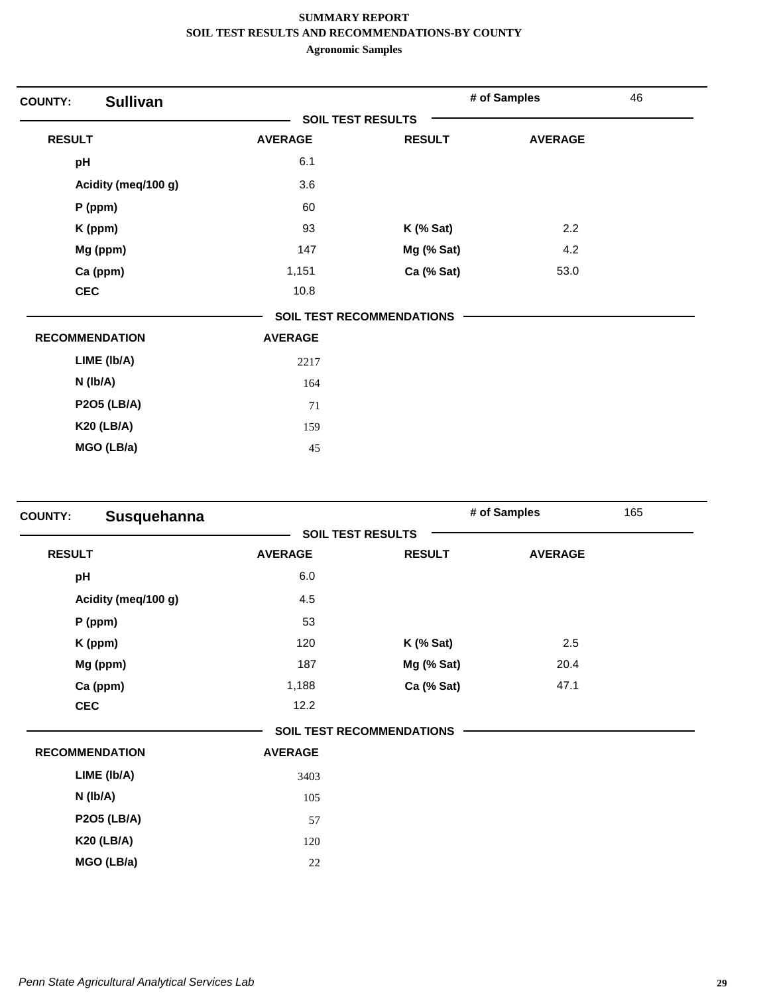| <b>COUNTY:</b>        | <b>Sullivan</b>     |                          |                                  | # of Samples   | 46 |
|-----------------------|---------------------|--------------------------|----------------------------------|----------------|----|
|                       |                     | <b>SOIL TEST RESULTS</b> |                                  |                |    |
| <b>RESULT</b>         |                     | <b>AVERAGE</b>           | <b>RESULT</b>                    | <b>AVERAGE</b> |    |
| pH                    |                     | 6.1                      |                                  |                |    |
|                       | Acidity (meq/100 g) | 3.6                      |                                  |                |    |
| $P$ (ppm)             |                     | 60                       |                                  |                |    |
| K (ppm)               |                     | 93                       | $K$ (% Sat)                      | 2.2            |    |
|                       | Mg (ppm)            | 147                      | Mg (% Sat)                       | 4.2            |    |
|                       | Ca (ppm)            | 1,151                    | Ca (% Sat)                       | 53.0           |    |
| <b>CEC</b>            |                     | 10.8                     |                                  |                |    |
|                       |                     |                          | <b>SOIL TEST RECOMMENDATIONS</b> |                |    |
| <b>RECOMMENDATION</b> |                     | <b>AVERAGE</b>           |                                  |                |    |
|                       | LIME (Ib/A)         | 2217                     |                                  |                |    |
| $N$ ( $lb/A$ )        |                     | 164                      |                                  |                |    |
|                       | <b>P2O5 (LB/A)</b>  | 71                       |                                  |                |    |
|                       | <b>K20 (LB/A)</b>   | 159                      |                                  |                |    |
|                       | MGO (LB/a)          | 45                       |                                  |                |    |

| Susquehanna<br><b>COUNTY:</b> |                |                                  | # of Samples   | 165 |
|-------------------------------|----------------|----------------------------------|----------------|-----|
|                               |                | <b>SOIL TEST RESULTS</b>         |                |     |
| <b>RESULT</b>                 | <b>AVERAGE</b> | <b>RESULT</b>                    | <b>AVERAGE</b> |     |
| pH                            | 6.0            |                                  |                |     |
| Acidity (meq/100 g)           | 4.5            |                                  |                |     |
| $P$ (ppm)                     | 53             |                                  |                |     |
| K (ppm)                       | 120            | $K$ (% Sat)                      | 2.5            |     |
| Mg (ppm)                      | 187            | Mg (% Sat)                       | 20.4           |     |
| Ca (ppm)                      | 1,188          | Ca (% Sat)                       | 47.1           |     |
| <b>CEC</b>                    | 12.2           |                                  |                |     |
|                               |                | <b>SOIL TEST RECOMMENDATIONS</b> |                |     |
| <b>RECOMMENDATION</b>         | <b>AVERAGE</b> |                                  |                |     |
| LIME (Ib/A)                   | 3403           |                                  |                |     |
| N (Ib/A)                      | 105            |                                  |                |     |
| <b>P2O5 (LB/A)</b>            | 57             |                                  |                |     |
| <b>K20 (LB/A)</b>             | 120            |                                  |                |     |
| MGO (LB/a)                    | 22             |                                  |                |     |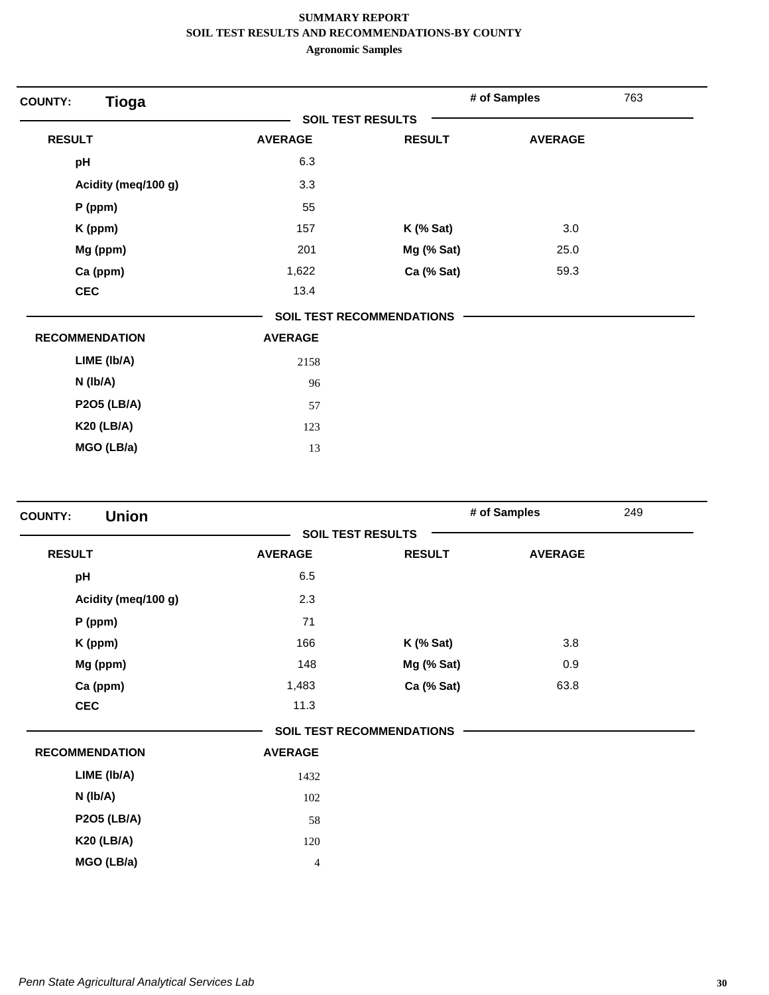| <b>Tioga</b><br><b>COUNTY:</b> |                |                           | # of Samples   | 763 |
|--------------------------------|----------------|---------------------------|----------------|-----|
|                                |                | <b>SOIL TEST RESULTS</b>  |                |     |
| <b>RESULT</b>                  | <b>AVERAGE</b> | <b>RESULT</b>             | <b>AVERAGE</b> |     |
| pH                             | 6.3            |                           |                |     |
| Acidity (meq/100 g)            | 3.3            |                           |                |     |
| $P$ (ppm)                      | 55             |                           |                |     |
| K (ppm)                        | 157            | $K$ (% Sat)               | 3.0            |     |
| Mg (ppm)                       | 201            | Mg (% Sat)                | 25.0           |     |
| Ca (ppm)                       | 1,622          | Ca (% Sat)                | 59.3           |     |
| <b>CEC</b>                     | 13.4           |                           |                |     |
|                                |                | SOIL TEST RECOMMENDATIONS |                |     |
| <b>RECOMMENDATION</b>          | <b>AVERAGE</b> |                           |                |     |
| LIME (Ib/A)                    | 2158           |                           |                |     |
| $N$ (lb/A)                     | 96             |                           |                |     |
| <b>P2O5 (LB/A)</b>             | 57             |                           |                |     |
| <b>K20 (LB/A)</b>              | 123            |                           |                |     |
| MGO (LB/a)                     | 13             |                           |                |     |

| <b>Union</b><br><b>COUNTY:</b> |                          |                                  | # of Samples   | 249 |
|--------------------------------|--------------------------|----------------------------------|----------------|-----|
|                                | <b>SOIL TEST RESULTS</b> |                                  |                |     |
| <b>RESULT</b>                  | <b>AVERAGE</b>           | <b>RESULT</b>                    | <b>AVERAGE</b> |     |
| pH                             | 6.5                      |                                  |                |     |
| Acidity (meq/100 g)            | 2.3                      |                                  |                |     |
| P (ppm)                        | 71                       |                                  |                |     |
| K (ppm)                        | 166                      | $K$ (% Sat)                      | 3.8            |     |
| Mg (ppm)                       | 148                      | Mg (% Sat)                       | 0.9            |     |
| Ca (ppm)                       | 1,483                    | Ca (% Sat)                       | 63.8           |     |
| <b>CEC</b>                     | 11.3                     |                                  |                |     |
|                                |                          | <b>SOIL TEST RECOMMENDATIONS</b> |                |     |
| <b>RECOMMENDATION</b>          | <b>AVERAGE</b>           |                                  |                |     |
| LIME (Ib/A)                    | 1432                     |                                  |                |     |
| N (lb/A)                       | 102                      |                                  |                |     |
| <b>P2O5 (LB/A)</b>             | 58                       |                                  |                |     |
| <b>K20 (LB/A)</b>              | 120                      |                                  |                |     |
| MGO (LB/a)                     | 4                        |                                  |                |     |
|                                |                          |                                  |                |     |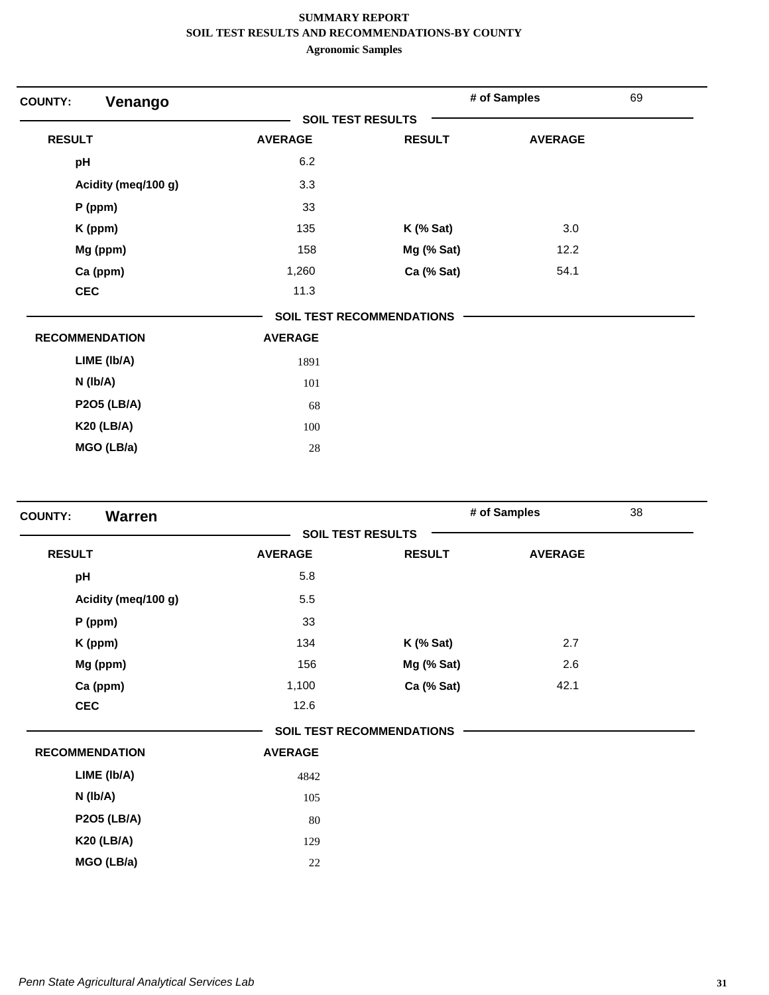| Venango<br><b>COUNTY:</b> |                          |                                  | # of Samples   | 69 |
|---------------------------|--------------------------|----------------------------------|----------------|----|
|                           | <b>SOIL TEST RESULTS</b> |                                  |                |    |
| <b>RESULT</b>             | <b>AVERAGE</b>           | <b>RESULT</b>                    | <b>AVERAGE</b> |    |
| pH                        | 6.2                      |                                  |                |    |
| Acidity (meq/100 g)       | 3.3                      |                                  |                |    |
| $P$ (ppm)                 | 33                       |                                  |                |    |
| K (ppm)                   | 135                      | $K$ (% Sat)                      | 3.0            |    |
| Mg (ppm)                  | 158                      | Mg (% Sat)                       | 12.2           |    |
| Ca (ppm)                  | 1,260                    | Ca (% Sat)                       | 54.1           |    |
| <b>CEC</b>                | 11.3                     |                                  |                |    |
|                           |                          | <b>SOIL TEST RECOMMENDATIONS</b> |                |    |
| <b>RECOMMENDATION</b>     | <b>AVERAGE</b>           |                                  |                |    |
| LIME (Ib/A)               | 1891                     |                                  |                |    |
| $N$ ( $lb/A$ )            | 101                      |                                  |                |    |
| <b>P2O5 (LB/A)</b>        | 68                       |                                  |                |    |
| <b>K20 (LB/A)</b>         | 100                      |                                  |                |    |
| MGO (LB/a)                | 28                       |                                  |                |    |

| <b>Warren</b><br><b>COUNTY:</b> |                |                                  | # of Samples   | 38 |
|---------------------------------|----------------|----------------------------------|----------------|----|
|                                 |                | <b>SOIL TEST RESULTS</b>         |                |    |
| <b>RESULT</b>                   | <b>AVERAGE</b> | <b>RESULT</b>                    | <b>AVERAGE</b> |    |
| pH                              | 5.8            |                                  |                |    |
| Acidity (meq/100 g)             | 5.5            |                                  |                |    |
| P (ppm)                         | 33             |                                  |                |    |
| K (ppm)                         | 134            | <b>K</b> (% Sat)                 | 2.7            |    |
| Mg (ppm)                        | 156            | Mg (% Sat)                       | 2.6            |    |
| Ca (ppm)                        | 1,100          | Ca (% Sat)                       | 42.1           |    |
| <b>CEC</b>                      | 12.6           |                                  |                |    |
|                                 |                | <b>SOIL TEST RECOMMENDATIONS</b> |                |    |
| <b>RECOMMENDATION</b>           | <b>AVERAGE</b> |                                  |                |    |
| LIME (Ib/A)                     | 4842           |                                  |                |    |
| N (lb/A)                        | 105            |                                  |                |    |
| <b>P2O5 (LB/A)</b>              | 80             |                                  |                |    |
| <b>K20 (LB/A)</b>               | 129            |                                  |                |    |
| MGO (LB/a)                      | 22             |                                  |                |    |
|                                 |                |                                  |                |    |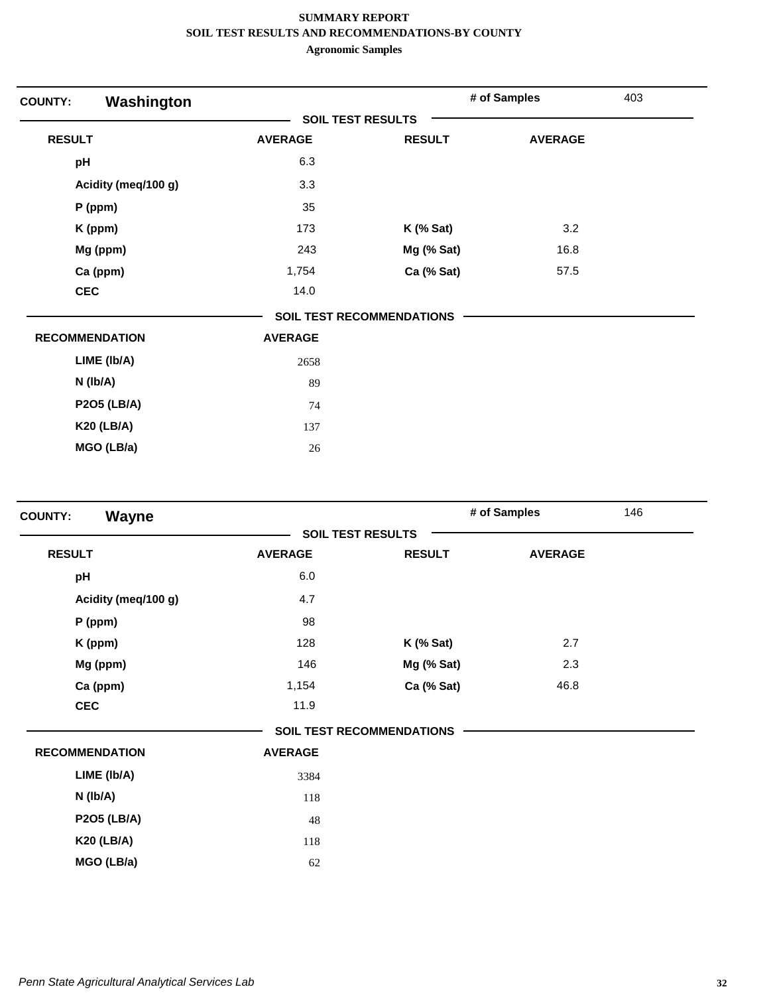| Washington<br><b>COUNTY:</b> |                |                           | # of Samples   | 403 |
|------------------------------|----------------|---------------------------|----------------|-----|
|                              |                | <b>SOIL TEST RESULTS</b>  |                |     |
| <b>RESULT</b>                | <b>AVERAGE</b> | <b>RESULT</b>             | <b>AVERAGE</b> |     |
| pH                           | 6.3            |                           |                |     |
| Acidity (meq/100 g)          | 3.3            |                           |                |     |
| $P$ (ppm)                    | 35             |                           |                |     |
| K (ppm)                      | 173            | $K$ (% Sat)               | 3.2            |     |
| Mg (ppm)                     | 243            | Mg (% Sat)                | 16.8           |     |
| Ca (ppm)                     | 1,754          | Ca (% Sat)                | 57.5           |     |
| <b>CEC</b>                   | 14.0           |                           |                |     |
|                              |                | SOIL TEST RECOMMENDATIONS |                |     |
| <b>RECOMMENDATION</b>        | <b>AVERAGE</b> |                           |                |     |
| LIME (Ib/A)                  | 2658           |                           |                |     |
| $N$ (lb/A)                   | 89             |                           |                |     |
| <b>P2O5 (LB/A)</b>           | 74             |                           |                |     |
| <b>K20 (LB/A)</b>            | 137            |                           |                |     |
| MGO (LB/a)                   | 26             |                           |                |     |

| <b>Wayne</b><br><b>COUNTY:</b> |                |                                  | # of Samples   | 146 |
|--------------------------------|----------------|----------------------------------|----------------|-----|
|                                |                | <b>SOIL TEST RESULTS</b>         |                |     |
| <b>RESULT</b>                  | <b>AVERAGE</b> | <b>RESULT</b>                    | <b>AVERAGE</b> |     |
| pH                             | 6.0            |                                  |                |     |
| Acidity (meq/100 g)            | 4.7            |                                  |                |     |
| $P$ (ppm)                      | 98             |                                  |                |     |
| K (ppm)                        | 128            | $K$ (% Sat)                      | 2.7            |     |
| Mg (ppm)                       | 146            | Mg (% Sat)                       | 2.3            |     |
| Ca (ppm)                       | 1,154          | Ca (% Sat)                       | 46.8           |     |
| <b>CEC</b>                     | 11.9           |                                  |                |     |
|                                |                | <b>SOIL TEST RECOMMENDATIONS</b> |                |     |
| <b>RECOMMENDATION</b>          | <b>AVERAGE</b> |                                  |                |     |
| LIME (Ib/A)                    | 3384           |                                  |                |     |
| N (lb/A)                       | 118            |                                  |                |     |
| <b>P2O5 (LB/A)</b>             | 48             |                                  |                |     |
| <b>K20 (LB/A)</b>              | 118            |                                  |                |     |
| MGO (LB/a)                     | 62             |                                  |                |     |
|                                |                |                                  |                |     |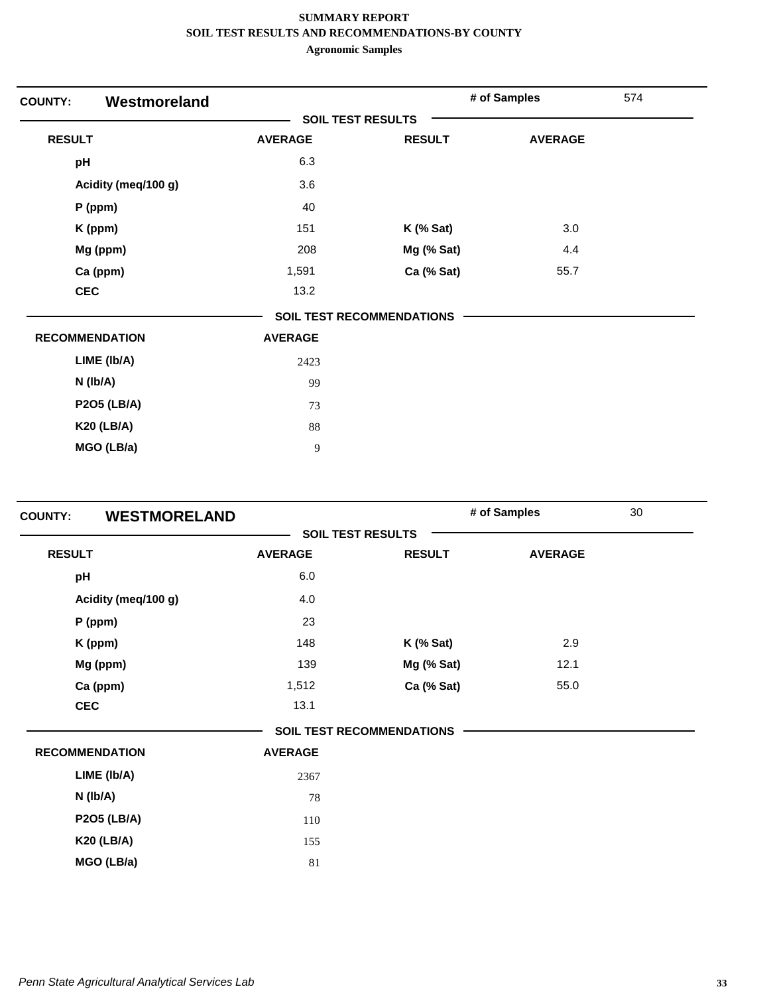| Westmoreland<br><b>COUNTY:</b> |                |                                  | # of Samples   | 574 |
|--------------------------------|----------------|----------------------------------|----------------|-----|
|                                |                | <b>SOIL TEST RESULTS</b>         |                |     |
| <b>RESULT</b>                  | <b>AVERAGE</b> | <b>RESULT</b>                    | <b>AVERAGE</b> |     |
| pH                             | 6.3            |                                  |                |     |
| Acidity (meq/100 g)            | 3.6            |                                  |                |     |
| P (ppm)                        | 40             |                                  |                |     |
| K (ppm)                        | 151            | $K$ (% Sat)                      | 3.0            |     |
| Mg (ppm)                       | 208            | Mg (% Sat)                       | 4.4            |     |
| Ca (ppm)                       | 1,591          | Ca (% Sat)                       | 55.7           |     |
| <b>CEC</b>                     | 13.2           |                                  |                |     |
|                                |                | <b>SOIL TEST RECOMMENDATIONS</b> |                |     |
| <b>RECOMMENDATION</b>          | <b>AVERAGE</b> |                                  |                |     |
| LIME (Ib/A)                    | 2423           |                                  |                |     |
| N (Ib/A)                       | 99             |                                  |                |     |
| <b>P2O5 (LB/A)</b>             | 73             |                                  |                |     |
| <b>K20 (LB/A)</b>              | 88             |                                  |                |     |
| MGO (LB/a)                     | $\overline{9}$ |                                  |                |     |

| <b>COUNTY:</b>        | <b>WESTMORELAND</b> |                          |                                  | # of Samples   | 30 |
|-----------------------|---------------------|--------------------------|----------------------------------|----------------|----|
|                       |                     | <b>SOIL TEST RESULTS</b> |                                  |                |    |
| <b>RESULT</b>         |                     | <b>AVERAGE</b>           | <b>RESULT</b>                    | <b>AVERAGE</b> |    |
| pH                    |                     | 6.0                      |                                  |                |    |
| Acidity (meq/100 g)   |                     | 4.0                      |                                  |                |    |
| $P$ (ppm)             |                     | 23                       |                                  |                |    |
| K (ppm)               |                     | 148                      | $K$ (% Sat)                      | 2.9            |    |
| Mg (ppm)              |                     | 139                      | Mg (% Sat)                       | 12.1           |    |
| Ca (ppm)              |                     | 1,512                    | Ca (% Sat)                       | 55.0           |    |
| <b>CEC</b>            |                     | 13.1                     |                                  |                |    |
|                       |                     |                          | <b>SOIL TEST RECOMMENDATIONS</b> |                |    |
| <b>RECOMMENDATION</b> |                     | <b>AVERAGE</b>           |                                  |                |    |
| LIME (Ib/A)           |                     | 2367                     |                                  |                |    |
| $N$ (lb/A)            |                     | 78                       |                                  |                |    |
| <b>P2O5 (LB/A)</b>    |                     | 110                      |                                  |                |    |
| <b>K20 (LB/A)</b>     |                     | 155                      |                                  |                |    |
| MGO (LB/a)            |                     | 81                       |                                  |                |    |